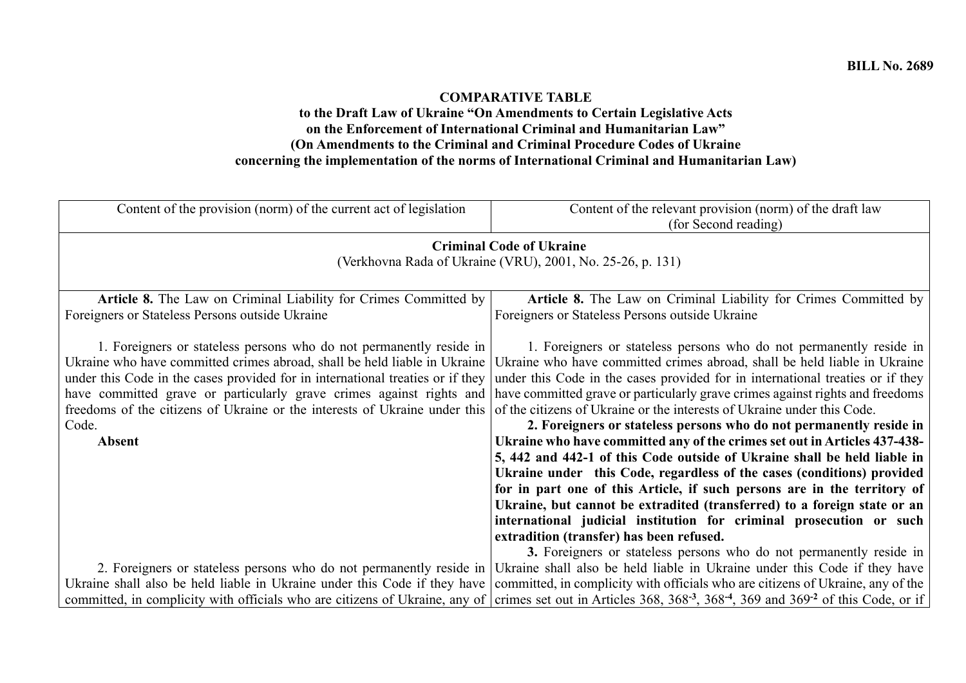## **COMPARATIVE TABLE**

## **to the Draft Law of Ukraine "On Amendments to Certain Legislative Acts on the Enforcement of International Criminal and Humanitarian Law" (On Amendments to the Criminal and Criminal Procedure Codes of Ukraine concerning the implementation of the norms of International Criminal and Humanitarian Law)**

| Content of the provision (norm) of the current act of legislation                                                                                                                                                                                                                                                                                                                                                  | Content of the relevant provision (norm) of the draft law<br>(for Second reading)                                                                                                                                                                                                                                                                                                                                                                                                                                                                                                                                                                                                                                                                                                                                                                                                                                                                                                                                                                          |
|--------------------------------------------------------------------------------------------------------------------------------------------------------------------------------------------------------------------------------------------------------------------------------------------------------------------------------------------------------------------------------------------------------------------|------------------------------------------------------------------------------------------------------------------------------------------------------------------------------------------------------------------------------------------------------------------------------------------------------------------------------------------------------------------------------------------------------------------------------------------------------------------------------------------------------------------------------------------------------------------------------------------------------------------------------------------------------------------------------------------------------------------------------------------------------------------------------------------------------------------------------------------------------------------------------------------------------------------------------------------------------------------------------------------------------------------------------------------------------------|
|                                                                                                                                                                                                                                                                                                                                                                                                                    | <b>Criminal Code of Ukraine</b><br>(Verkhovna Rada of Ukraine (VRU), 2001, No. 25-26, p. 131)                                                                                                                                                                                                                                                                                                                                                                                                                                                                                                                                                                                                                                                                                                                                                                                                                                                                                                                                                              |
| Article 8. The Law on Criminal Liability for Crimes Committed by<br>Foreigners or Stateless Persons outside Ukraine                                                                                                                                                                                                                                                                                                | Article 8. The Law on Criminal Liability for Crimes Committed by<br>Foreigners or Stateless Persons outside Ukraine                                                                                                                                                                                                                                                                                                                                                                                                                                                                                                                                                                                                                                                                                                                                                                                                                                                                                                                                        |
| 1. Foreigners or stateless persons who do not permanently reside in<br>Ukraine who have committed crimes abroad, shall be held liable in Ukraine<br>under this Code in the cases provided for in international treaties or if they<br>have committed grave or particularly grave crimes against rights and<br>freedoms of the citizens of Ukraine or the interests of Ukraine under this<br>Code.<br><b>Absent</b> | 1. Foreigners or stateless persons who do not permanently reside in<br>Ukraine who have committed crimes abroad, shall be held liable in Ukraine<br>under this Code in the cases provided for in international treaties or if they<br>have committed grave or particularly grave crimes against rights and freedoms<br>of the citizens of Ukraine or the interests of Ukraine under this Code.<br>2. Foreigners or stateless persons who do not permanently reside in<br>Ukraine who have committed any of the crimes set out in Articles 437-438-<br>5, 442 and 442-1 of this Code outside of Ukraine shall be held liable in<br>Ukraine under this Code, regardless of the cases (conditions) provided<br>for in part one of this Article, if such persons are in the territory of<br>Ukraine, but cannot be extradited (transferred) to a foreign state or an<br>international judicial institution for criminal prosecution or such<br>extradition (transfer) has been refused.<br>3. Foreigners or stateless persons who do not permanently reside in |
|                                                                                                                                                                                                                                                                                                                                                                                                                    | 2. Foreigners or stateless persons who do not permanently reside in Ukraine shall also be held liable in Ukraine under this Code if they have                                                                                                                                                                                                                                                                                                                                                                                                                                                                                                                                                                                                                                                                                                                                                                                                                                                                                                              |
| Ukraine shall also be held liable in Ukraine under this Code if they have                                                                                                                                                                                                                                                                                                                                          | committed, in complicity with officials who are citizens of Ukraine, any of the                                                                                                                                                                                                                                                                                                                                                                                                                                                                                                                                                                                                                                                                                                                                                                                                                                                                                                                                                                            |
|                                                                                                                                                                                                                                                                                                                                                                                                                    | committed, in complicity with officials who are citizens of Ukraine, any of crimes set out in Articles 368, 368-3, 368-4, 369 and 369-2 of this Code, or if                                                                                                                                                                                                                                                                                                                                                                                                                                                                                                                                                                                                                                                                                                                                                                                                                                                                                                |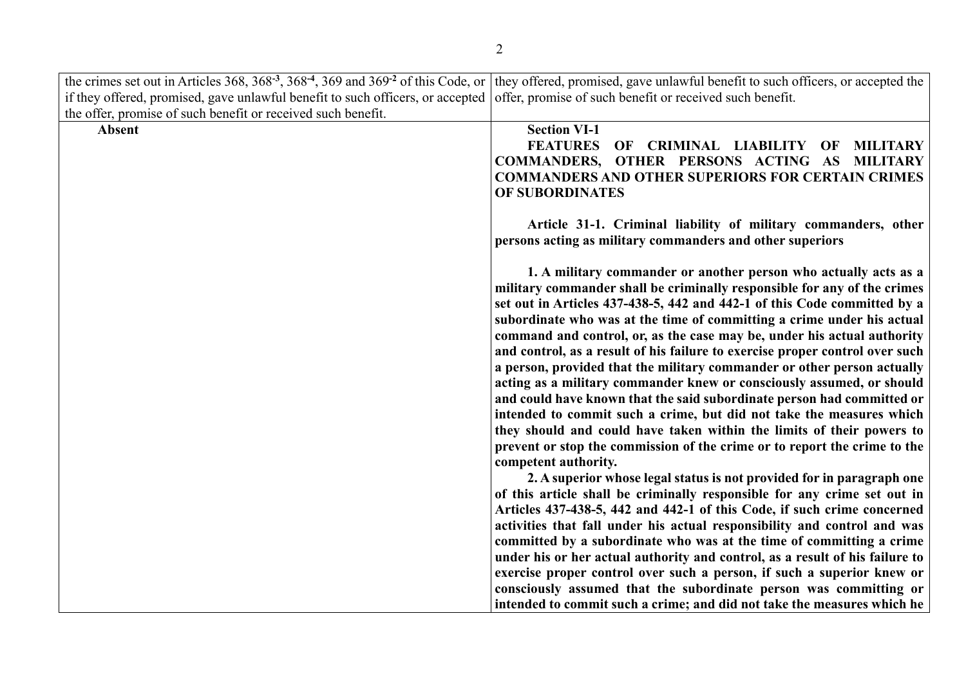|                                                                                | the crimes set out in Articles 368, 368 <sup>-3</sup> , 368 <sup>-4</sup> , 369 and 369 <sup>-2</sup> of this Code, or they offered, promised, gave unlawful benefit to such officers, or accepted the                                                                                             |
|--------------------------------------------------------------------------------|----------------------------------------------------------------------------------------------------------------------------------------------------------------------------------------------------------------------------------------------------------------------------------------------------|
| if they offered, promised, gave unlawful benefit to such officers, or accepted | offer, promise of such benefit or received such benefit.                                                                                                                                                                                                                                           |
| the offer, promise of such benefit or received such benefit.                   |                                                                                                                                                                                                                                                                                                    |
| <b>Absent</b>                                                                  | <b>Section VI-1</b>                                                                                                                                                                                                                                                                                |
|                                                                                | <b>FEATURES</b><br>OF CRIMINAL LIABILITY OF<br><b>MILITARY</b>                                                                                                                                                                                                                                     |
|                                                                                | COMMANDERS, OTHER PERSONS ACTING AS<br><b>MILITARY</b>                                                                                                                                                                                                                                             |
|                                                                                | <b>COMMANDERS AND OTHER SUPERIORS FOR CERTAIN CRIMES</b>                                                                                                                                                                                                                                           |
|                                                                                | OF SUBORDINATES                                                                                                                                                                                                                                                                                    |
|                                                                                | Article 31-1. Criminal liability of military commanders, other<br>persons acting as military commanders and other superiors                                                                                                                                                                        |
|                                                                                | 1. A military commander or another person who actually acts as a<br>military commander shall be criminally responsible for any of the crimes<br>set out in Articles 437-438-5, 442 and 442-1 of this Code committed by a<br>subordinate who was at the time of committing a crime under his actual |
|                                                                                | command and control, or, as the case may be, under his actual authority                                                                                                                                                                                                                            |
|                                                                                | and control, as a result of his failure to exercise proper control over such<br>a person, provided that the military commander or other person actually                                                                                                                                            |
|                                                                                | acting as a military commander knew or consciously assumed, or should                                                                                                                                                                                                                              |
|                                                                                | and could have known that the said subordinate person had committed or                                                                                                                                                                                                                             |
|                                                                                | intended to commit such a crime, but did not take the measures which                                                                                                                                                                                                                               |
|                                                                                | they should and could have taken within the limits of their powers to                                                                                                                                                                                                                              |
|                                                                                | prevent or stop the commission of the crime or to report the crime to the<br>competent authority.                                                                                                                                                                                                  |
|                                                                                | 2. A superior whose legal status is not provided for in paragraph one                                                                                                                                                                                                                              |
|                                                                                | of this article shall be criminally responsible for any crime set out in                                                                                                                                                                                                                           |
|                                                                                | Articles 437-438-5, 442 and 442-1 of this Code, if such crime concerned                                                                                                                                                                                                                            |
|                                                                                | activities that fall under his actual responsibility and control and was                                                                                                                                                                                                                           |
|                                                                                | committed by a subordinate who was at the time of committing a crime                                                                                                                                                                                                                               |
|                                                                                | under his or her actual authority and control, as a result of his failure to                                                                                                                                                                                                                       |
|                                                                                | exercise proper control over such a person, if such a superior knew or                                                                                                                                                                                                                             |
|                                                                                | consciously assumed that the subordinate person was committing or                                                                                                                                                                                                                                  |
|                                                                                | intended to commit such a crime; and did not take the measures which he                                                                                                                                                                                                                            |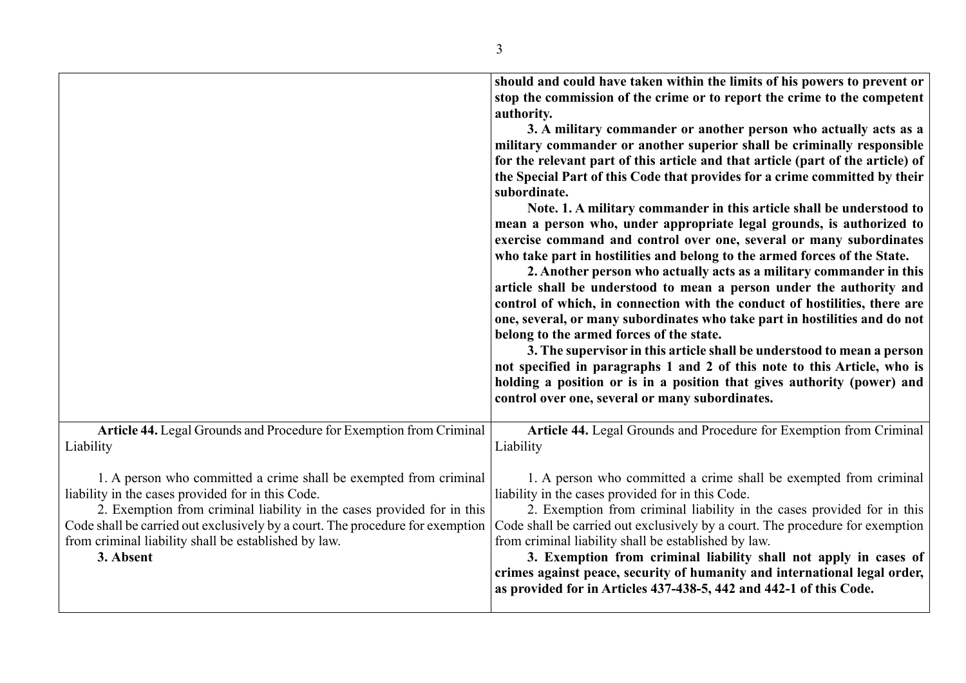|                                                                                                                                                                                                                                                                                                                                                        | should and could have taken within the limits of his powers to prevent or<br>stop the commission of the crime or to report the crime to the competent<br>authority.<br>3. A military commander or another person who actually acts as a<br>military commander or another superior shall be criminally responsible<br>for the relevant part of this article and that article (part of the article) of<br>the Special Part of this Code that provides for a crime committed by their<br>subordinate.<br>Note. 1. A military commander in this article shall be understood to<br>mean a person who, under appropriate legal grounds, is authorized to<br>exercise command and control over one, several or many subordinates<br>who take part in hostilities and belong to the armed forces of the State.<br>2. Another person who actually acts as a military commander in this<br>article shall be understood to mean a person under the authority and<br>control of which, in connection with the conduct of hostilities, there are<br>one, several, or many subordinates who take part in hostilities and do not<br>belong to the armed forces of the state.<br>3. The supervisor in this article shall be understood to mean a person<br>not specified in paragraphs 1 and 2 of this note to this Article, who is<br>holding a position or is in a position that gives authority (power) and<br>control over one, several or many subordinates. |
|--------------------------------------------------------------------------------------------------------------------------------------------------------------------------------------------------------------------------------------------------------------------------------------------------------------------------------------------------------|---------------------------------------------------------------------------------------------------------------------------------------------------------------------------------------------------------------------------------------------------------------------------------------------------------------------------------------------------------------------------------------------------------------------------------------------------------------------------------------------------------------------------------------------------------------------------------------------------------------------------------------------------------------------------------------------------------------------------------------------------------------------------------------------------------------------------------------------------------------------------------------------------------------------------------------------------------------------------------------------------------------------------------------------------------------------------------------------------------------------------------------------------------------------------------------------------------------------------------------------------------------------------------------------------------------------------------------------------------------------------------------------------------------------------------------------------|
| Article 44. Legal Grounds and Procedure for Exemption from Criminal<br>Liability                                                                                                                                                                                                                                                                       | Article 44. Legal Grounds and Procedure for Exemption from Criminal<br>Liability                                                                                                                                                                                                                                                                                                                                                                                                                                                                                                                                                                                                                                                                                                                                                                                                                                                                                                                                                                                                                                                                                                                                                                                                                                                                                                                                                                  |
| 1. A person who committed a crime shall be exempted from criminal<br>liability in the cases provided for in this Code.<br>2. Exemption from criminal liability in the cases provided for in this<br>Code shall be carried out exclusively by a court. The procedure for exemption<br>from criminal liability shall be established by law.<br>3. Absent | 1. A person who committed a crime shall be exempted from criminal<br>liability in the cases provided for in this Code.<br>2. Exemption from criminal liability in the cases provided for in this<br>Code shall be carried out exclusively by a court. The procedure for exemption<br>from criminal liability shall be established by law.<br>3. Exemption from criminal liability shall not apply in cases of<br>crimes against peace, security of humanity and international legal order,                                                                                                                                                                                                                                                                                                                                                                                                                                                                                                                                                                                                                                                                                                                                                                                                                                                                                                                                                        |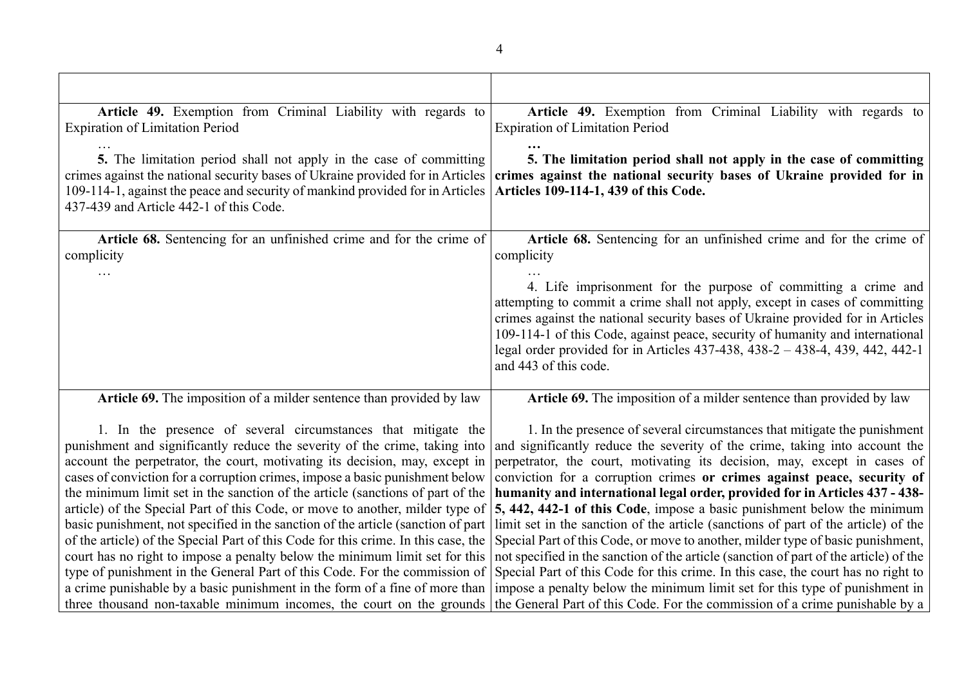| Article 49. Exemption from Criminal Liability with regards to                                                                                                     | Article 49. Exemption from Criminal Liability with regards to                                                                                                            |
|-------------------------------------------------------------------------------------------------------------------------------------------------------------------|--------------------------------------------------------------------------------------------------------------------------------------------------------------------------|
| <b>Expiration of Limitation Period</b>                                                                                                                            | <b>Expiration of Limitation Period</b>                                                                                                                                   |
| 5. The limitation period shall not apply in the case of committing                                                                                                | 5. The limitation period shall not apply in the case of committing                                                                                                       |
| crimes against the national security bases of Ukraine provided for in Articles                                                                                    | crimes against the national security bases of Ukraine provided for in                                                                                                    |
| 109-114-1, against the peace and security of mankind provided for in Articles                                                                                     | Articles 109-114-1, 439 of this Code.                                                                                                                                    |
| 437-439 and Article 442-1 of this Code.                                                                                                                           |                                                                                                                                                                          |
| Article 68. Sentencing for an unfinished crime and for the crime of                                                                                               | Article 68. Sentencing for an unfinished crime and for the crime of                                                                                                      |
| complicity                                                                                                                                                        | complicity                                                                                                                                                               |
|                                                                                                                                                                   |                                                                                                                                                                          |
|                                                                                                                                                                   | 4. Life imprisonment for the purpose of committing a crime and                                                                                                           |
|                                                                                                                                                                   | attempting to commit a crime shall not apply, except in cases of committing<br>crimes against the national security bases of Ukraine provided for in Articles            |
|                                                                                                                                                                   | 109-114-1 of this Code, against peace, security of humanity and international                                                                                            |
|                                                                                                                                                                   | legal order provided for in Articles 437-438, 438-2 - 438-4, 439, 442, 442-1                                                                                             |
|                                                                                                                                                                   | and 443 of this code.                                                                                                                                                    |
| Article 69. The imposition of a milder sentence than provided by law                                                                                              | Article 69. The imposition of a milder sentence than provided by law                                                                                                     |
|                                                                                                                                                                   |                                                                                                                                                                          |
| 1. In the presence of several circumstances that mitigate the                                                                                                     | 1. In the presence of several circumstances that mitigate the punishment                                                                                                 |
| punishment and significantly reduce the severity of the crime, taking into                                                                                        | and significantly reduce the severity of the crime, taking into account the<br>perpetrator, the court, motivating its decision, may, except in cases of                  |
| account the perpetrator, the court, motivating its decision, may, except in<br>cases of conviction for a corruption crimes, impose a basic punishment below       | conviction for a corruption crimes or crimes against peace, security of                                                                                                  |
| the minimum limit set in the sanction of the article (sanctions of part of the                                                                                    | humanity and international legal order, provided for in Articles 437 - 438-                                                                                              |
| article) of the Special Part of this Code, or move to another, milder type of                                                                                     | 5, 442, 442-1 of this Code, impose a basic punishment below the minimum                                                                                                  |
| basic punishment, not specified in the sanction of the article (sanction of part                                                                                  | limit set in the sanction of the article (sanctions of part of the article) of the                                                                                       |
| of the article) of the Special Part of this Code for this crime. In this case, the<br>court has no right to impose a penalty below the minimum limit set for this | Special Part of this Code, or move to another, milder type of basic punishment,<br>not specified in the sanction of the article (sanction of part of the article) of the |
| type of punishment in the General Part of this Code. For the commission of                                                                                        | Special Part of this Code for this crime. In this case, the court has no right to                                                                                        |
|                                                                                                                                                                   | a crime punishable by a basic punishment in the form of a fine of more than  impose a penalty below the minimum limit set for this type of punishment in                 |
|                                                                                                                                                                   | three thousand non-taxable minimum incomes, the court on the grounds the General Part of this Code. For the commission of a crime punishable by a                        |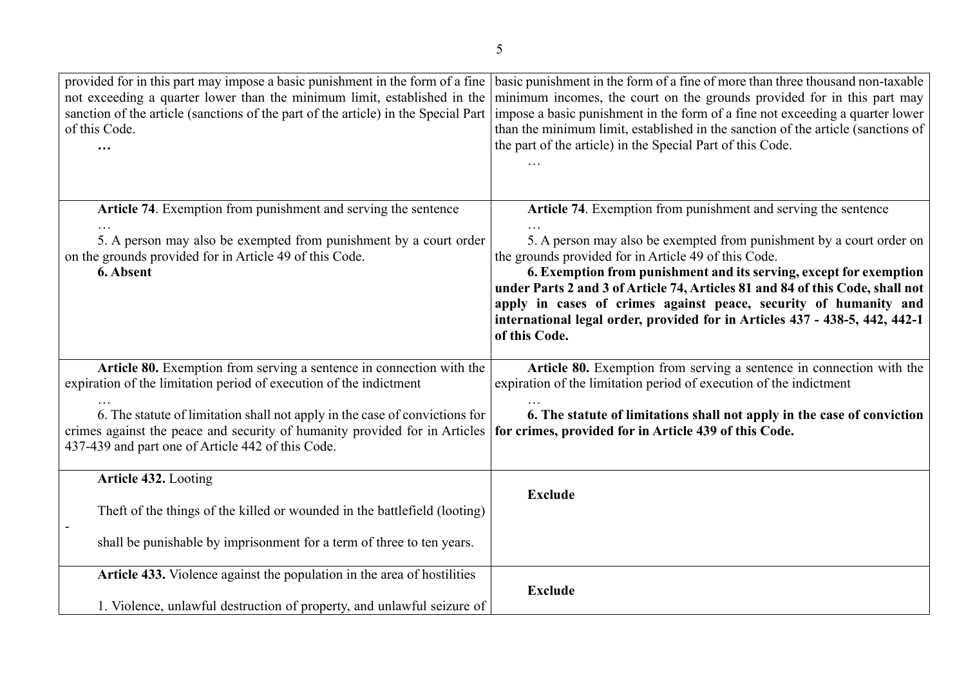| provided for in this part may impose a basic punishment in the form of a fine<br>not exceeding a quarter lower than the minimum limit, established in the<br>sanction of the article (sanctions of the part of the article) in the Special Part<br>of this Code. | basic punishment in the form of a fine of more than three thousand non-taxable<br>minimum incomes, the court on the grounds provided for in this part may<br>impose a basic punishment in the form of a fine not exceeding a quarter lower<br>than the minimum limit, established in the sanction of the article (sanctions of<br>the part of the article) in the Special Part of this Code.                                                            |
|------------------------------------------------------------------------------------------------------------------------------------------------------------------------------------------------------------------------------------------------------------------|---------------------------------------------------------------------------------------------------------------------------------------------------------------------------------------------------------------------------------------------------------------------------------------------------------------------------------------------------------------------------------------------------------------------------------------------------------|
| Article 74. Exemption from punishment and serving the sentence                                                                                                                                                                                                   | Article 74. Exemption from punishment and serving the sentence                                                                                                                                                                                                                                                                                                                                                                                          |
| 5. A person may also be exempted from punishment by a court order<br>on the grounds provided for in Article 49 of this Code.<br>6. Absent                                                                                                                        | 5. A person may also be exempted from punishment by a court order on<br>the grounds provided for in Article 49 of this Code.<br>6. Exemption from punishment and its serving, except for exemption<br>under Parts 2 and 3 of Article 74, Articles 81 and 84 of this Code, shall not<br>apply in cases of crimes against peace, security of humanity and<br>international legal order, provided for in Articles 437 - 438-5, 442, 442-1<br>of this Code. |
| Article 80. Exemption from serving a sentence in connection with the<br>expiration of the limitation period of execution of the indictment                                                                                                                       | Article 80. Exemption from serving a sentence in connection with the<br>expiration of the limitation period of execution of the indictment                                                                                                                                                                                                                                                                                                              |
| 6. The statute of limitation shall not apply in the case of convictions for<br>crimes against the peace and security of humanity provided for in Articles<br>437-439 and part one of Article 442 of this Code.                                                   | 6. The statute of limitations shall not apply in the case of conviction<br>for crimes, provided for in Article 439 of this Code.                                                                                                                                                                                                                                                                                                                        |
| Article 432. Looting                                                                                                                                                                                                                                             |                                                                                                                                                                                                                                                                                                                                                                                                                                                         |
| Theft of the things of the killed or wounded in the battlefield (looting)                                                                                                                                                                                        | <b>Exclude</b>                                                                                                                                                                                                                                                                                                                                                                                                                                          |
| shall be punishable by imprisonment for a term of three to ten years.                                                                                                                                                                                            |                                                                                                                                                                                                                                                                                                                                                                                                                                                         |
| Article 433. Violence against the population in the area of hostilities                                                                                                                                                                                          | <b>Exclude</b>                                                                                                                                                                                                                                                                                                                                                                                                                                          |
| 1. Violence, unlawful destruction of property, and unlawful seizure of                                                                                                                                                                                           |                                                                                                                                                                                                                                                                                                                                                                                                                                                         |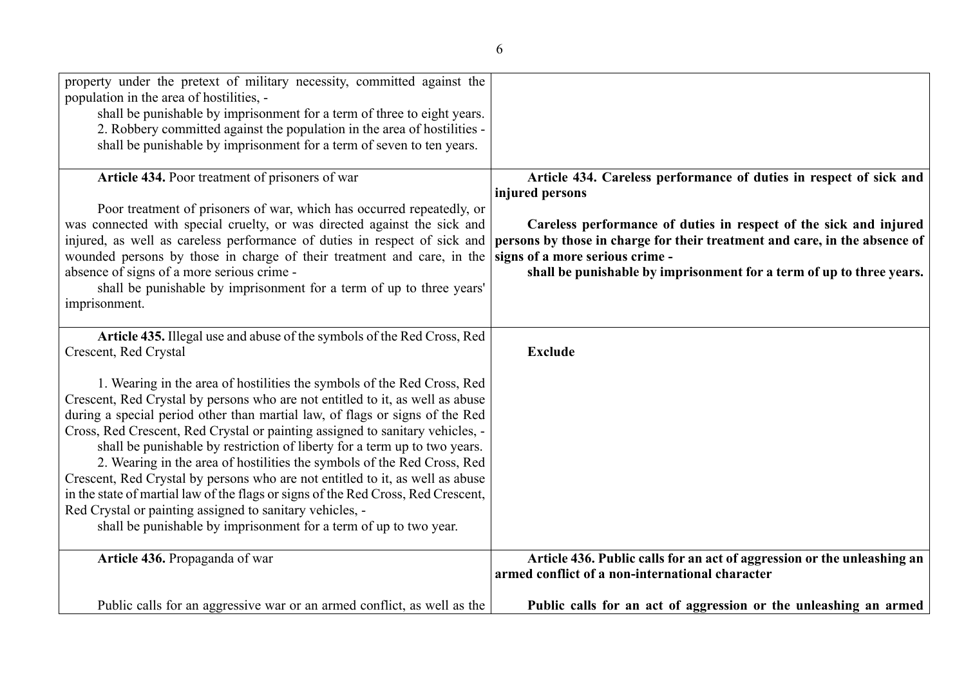| property under the pretext of military necessity, committed against the<br>population in the area of hostilities, -<br>shall be punishable by imprisonment for a term of three to eight years.<br>2. Robbery committed against the population in the area of hostilities -<br>shall be punishable by imprisonment for a term of seven to ten years.                                                                                                                                                                                                                                                                                                                                                                                                                                                                                                                                          |                                                                                                                                                                                                                                                                                                                                                     |
|----------------------------------------------------------------------------------------------------------------------------------------------------------------------------------------------------------------------------------------------------------------------------------------------------------------------------------------------------------------------------------------------------------------------------------------------------------------------------------------------------------------------------------------------------------------------------------------------------------------------------------------------------------------------------------------------------------------------------------------------------------------------------------------------------------------------------------------------------------------------------------------------|-----------------------------------------------------------------------------------------------------------------------------------------------------------------------------------------------------------------------------------------------------------------------------------------------------------------------------------------------------|
| Article 434. Poor treatment of prisoners of war<br>Poor treatment of prisoners of war, which has occurred repeatedly, or<br>was connected with special cruelty, or was directed against the sick and<br>injured, as well as careless performance of duties in respect of sick and<br>wounded persons by those in charge of their treatment and care, in the<br>absence of signs of a more serious crime -<br>shall be punishable by imprisonment for a term of up to three years'<br>imprisonment.                                                                                                                                                                                                                                                                                                                                                                                           | Article 434. Careless performance of duties in respect of sick and<br>injured persons<br>Careless performance of duties in respect of the sick and injured<br>persons by those in charge for their treatment and care, in the absence of<br>signs of a more serious crime -<br>shall be punishable by imprisonment for a term of up to three years. |
| Article 435. Illegal use and abuse of the symbols of the Red Cross, Red<br>Crescent, Red Crystal<br>1. Wearing in the area of hostilities the symbols of the Red Cross, Red<br>Crescent, Red Crystal by persons who are not entitled to it, as well as abuse<br>during a special period other than martial law, of flags or signs of the Red<br>Cross, Red Crescent, Red Crystal or painting assigned to sanitary vehicles, -<br>shall be punishable by restriction of liberty for a term up to two years.<br>2. Wearing in the area of hostilities the symbols of the Red Cross, Red<br>Crescent, Red Crystal by persons who are not entitled to it, as well as abuse<br>in the state of martial law of the flags or signs of the Red Cross, Red Crescent,<br>Red Crystal or painting assigned to sanitary vehicles, -<br>shall be punishable by imprisonment for a term of up to two year. | <b>Exclude</b>                                                                                                                                                                                                                                                                                                                                      |
| Article 436. Propaganda of war                                                                                                                                                                                                                                                                                                                                                                                                                                                                                                                                                                                                                                                                                                                                                                                                                                                               | Article 436. Public calls for an act of aggression or the unleashing an<br>armed conflict of a non-international character                                                                                                                                                                                                                          |
| Public calls for an aggressive war or an armed conflict, as well as the                                                                                                                                                                                                                                                                                                                                                                                                                                                                                                                                                                                                                                                                                                                                                                                                                      | Public calls for an act of aggression or the unleashing an armed                                                                                                                                                                                                                                                                                    |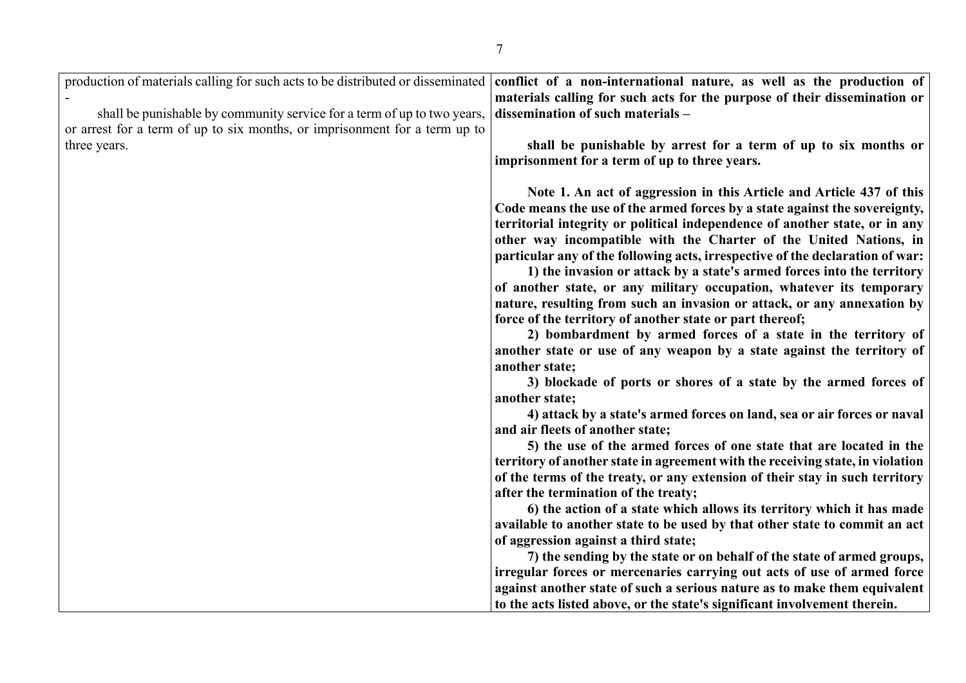| production of materials calling for such acts to be distributed or disseminated | conflict of a non-international nature, as well as the production of           |
|---------------------------------------------------------------------------------|--------------------------------------------------------------------------------|
|                                                                                 | materials calling for such acts for the purpose of their dissemination or      |
| shall be punishable by community service for a term of up to two years,         | dissemination of such materials -                                              |
| or arrest for a term of up to six months, or imprisonment for a term up to      |                                                                                |
| three years.                                                                    | shall be punishable by arrest for a term of up to six months or                |
|                                                                                 | imprisonment for a term of up to three years.                                  |
|                                                                                 |                                                                                |
|                                                                                 | Note 1. An act of aggression in this Article and Article 437 of this           |
|                                                                                 | Code means the use of the armed forces by a state against the sovereignty,     |
|                                                                                 | territorial integrity or political independence of another state, or in any    |
|                                                                                 | other way incompatible with the Charter of the United Nations, in              |
|                                                                                 | particular any of the following acts, irrespective of the declaration of war:  |
|                                                                                 | 1) the invasion or attack by a state's armed forces into the territory         |
|                                                                                 | of another state, or any military occupation, whatever its temporary           |
|                                                                                 | nature, resulting from such an invasion or attack, or any annexation by        |
|                                                                                 | force of the territory of another state or part thereof;                       |
|                                                                                 | 2) bombardment by armed forces of a state in the territory of                  |
|                                                                                 | another state or use of any weapon by a state against the territory of         |
|                                                                                 | another state;                                                                 |
|                                                                                 | 3) blockade of ports or shores of a state by the armed forces of               |
|                                                                                 | another state;                                                                 |
|                                                                                 | 4) attack by a state's armed forces on land, sea or air forces or naval        |
|                                                                                 | and air fleets of another state;                                               |
|                                                                                 | 5) the use of the armed forces of one state that are located in the            |
|                                                                                 | territory of another state in agreement with the receiving state, in violation |
|                                                                                 | of the terms of the treaty, or any extension of their stay in such territory   |
|                                                                                 | after the termination of the treaty;                                           |
|                                                                                 | 6) the action of a state which allows its territory which it has made          |
|                                                                                 | available to another state to be used by that other state to commit an act     |
|                                                                                 | of aggression against a third state;                                           |
|                                                                                 | 7) the sending by the state or on behalf of the state of armed groups,         |
|                                                                                 | irregular forces or mercenaries carrying out acts of use of armed force        |
|                                                                                 | against another state of such a serious nature as to make them equivalent      |
|                                                                                 | to the acts listed above, or the state's significant involvement therein.      |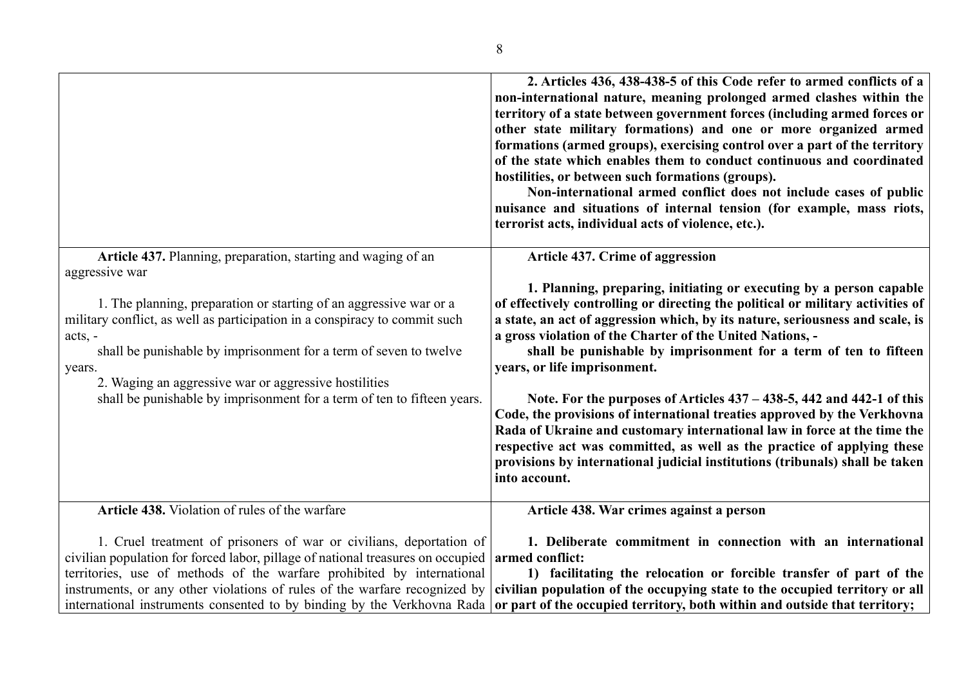|                                                                                                                                                                                                                                                                                                                                                                                                    | 2. Articles 436, 438-438-5 of this Code refer to armed conflicts of a<br>non-international nature, meaning prolonged armed clashes within the<br>territory of a state between government forces (including armed forces or<br>other state military formations) and one or more organized armed<br>formations (armed groups), exercising control over a part of the territory<br>of the state which enables them to conduct continuous and coordinated<br>hostilities, or between such formations (groups).<br>Non-international armed conflict does not include cases of public<br>nuisance and situations of internal tension (for example, mass riots,<br>terrorist acts, individual acts of violence, etc.).                                                                                                            |
|----------------------------------------------------------------------------------------------------------------------------------------------------------------------------------------------------------------------------------------------------------------------------------------------------------------------------------------------------------------------------------------------------|----------------------------------------------------------------------------------------------------------------------------------------------------------------------------------------------------------------------------------------------------------------------------------------------------------------------------------------------------------------------------------------------------------------------------------------------------------------------------------------------------------------------------------------------------------------------------------------------------------------------------------------------------------------------------------------------------------------------------------------------------------------------------------------------------------------------------|
| Article 437. Planning, preparation, starting and waging of an                                                                                                                                                                                                                                                                                                                                      | <b>Article 437. Crime of aggression</b>                                                                                                                                                                                                                                                                                                                                                                                                                                                                                                                                                                                                                                                                                                                                                                                    |
| aggressive war<br>1. The planning, preparation or starting of an aggressive war or a<br>military conflict, as well as participation in a conspiracy to commit such<br>$acts, -$<br>shall be punishable by imprisonment for a term of seven to twelve<br>years.<br>2. Waging an aggressive war or aggressive hostilities<br>shall be punishable by imprisonment for a term of ten to fifteen years. | 1. Planning, preparing, initiating or executing by a person capable<br>of effectively controlling or directing the political or military activities of<br>a state, an act of aggression which, by its nature, seriousness and scale, is<br>a gross violation of the Charter of the United Nations, -<br>shall be punishable by imprisonment for a term of ten to fifteen<br>years, or life imprisonment.<br>Note. For the purposes of Articles $437 - 438 - 5$ , 442 and 442-1 of this<br>Code, the provisions of international treaties approved by the Verkhovna<br>Rada of Ukraine and customary international law in force at the time the<br>respective act was committed, as well as the practice of applying these<br>provisions by international judicial institutions (tribunals) shall be taken<br>into account. |
| Article 438. Violation of rules of the warfare                                                                                                                                                                                                                                                                                                                                                     | Article 438. War crimes against a person                                                                                                                                                                                                                                                                                                                                                                                                                                                                                                                                                                                                                                                                                                                                                                                   |
| 1. Cruel treatment of prisoners of war or civilians, deportation of<br>civilian population for forced labor, pillage of national treasures on occupied<br>territories, use of methods of the warfare prohibited by international<br>instruments, or any other violations of rules of the warfare recognized by                                                                                     | 1. Deliberate commitment in connection with an international<br>armed conflict:<br>1) facilitating the relocation or forcible transfer of part of the<br>civilian population of the occupying state to the occupied territory or all                                                                                                                                                                                                                                                                                                                                                                                                                                                                                                                                                                                       |
| international instruments consented to by binding by the Verkhovna Rada                                                                                                                                                                                                                                                                                                                            | or part of the occupied territory, both within and outside that territory;                                                                                                                                                                                                                                                                                                                                                                                                                                                                                                                                                                                                                                                                                                                                                 |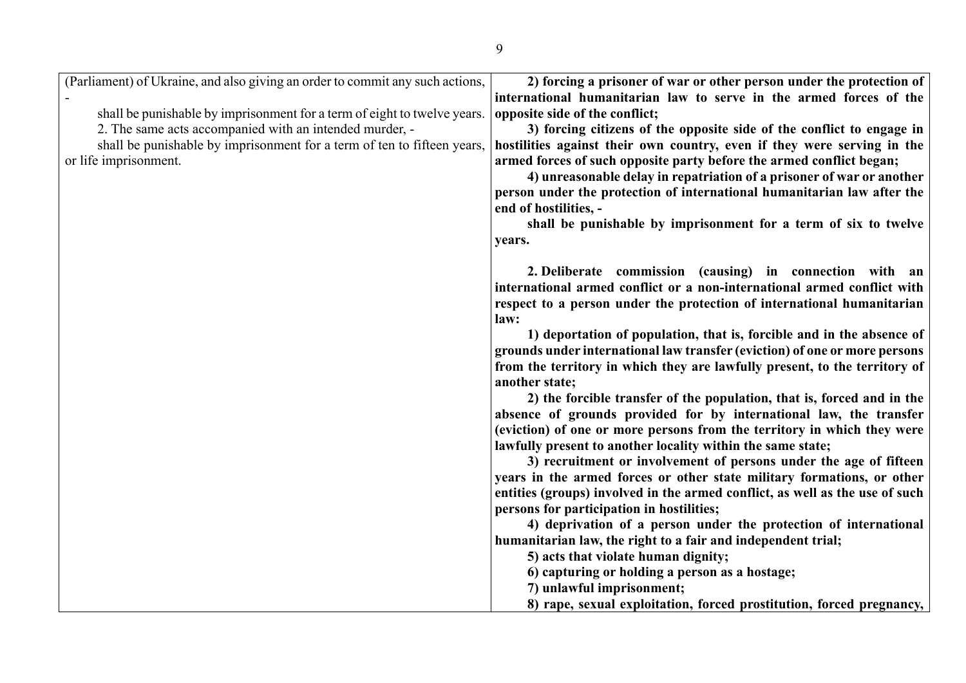| (Parliament) of Ukraine, and also giving an order to commit any such actions,<br>shall be punishable by imprisonment for a term of eight to twelve years.<br>2. The same acts accompanied with an intended murder, -<br>shall be punishable by imprisonment for a term of ten to fifteen years,<br>or life imprisonment. | 2) forcing a prisoner of war or other person under the protection of<br>international humanitarian law to serve in the armed forces of the<br>opposite side of the conflict;<br>3) forcing citizens of the opposite side of the conflict to engage in<br>hostilities against their own country, even if they were serving in the<br>armed forces of such opposite party before the armed conflict began;<br>4) unreasonable delay in repatriation of a prisoner of war or another<br>person under the protection of international humanitarian law after the<br>end of hostilities, -<br>shall be punishable by imprisonment for a term of six to twelve<br>years.                                                                                                                                                                                                                                                                                                                                                                                                                                                                                                                                                                                                                                           |
|--------------------------------------------------------------------------------------------------------------------------------------------------------------------------------------------------------------------------------------------------------------------------------------------------------------------------|--------------------------------------------------------------------------------------------------------------------------------------------------------------------------------------------------------------------------------------------------------------------------------------------------------------------------------------------------------------------------------------------------------------------------------------------------------------------------------------------------------------------------------------------------------------------------------------------------------------------------------------------------------------------------------------------------------------------------------------------------------------------------------------------------------------------------------------------------------------------------------------------------------------------------------------------------------------------------------------------------------------------------------------------------------------------------------------------------------------------------------------------------------------------------------------------------------------------------------------------------------------------------------------------------------------|
|                                                                                                                                                                                                                                                                                                                          | 2. Deliberate commission (causing) in connection with an<br>international armed conflict or a non-international armed conflict with<br>respect to a person under the protection of international humanitarian<br>law:<br>1) deportation of population, that is, forcible and in the absence of<br>grounds under international law transfer (eviction) of one or more persons<br>from the territory in which they are lawfully present, to the territory of<br>another state;<br>2) the forcible transfer of the population, that is, forced and in the<br>absence of grounds provided for by international law, the transfer<br>(eviction) of one or more persons from the territory in which they were<br>lawfully present to another locality within the same state;<br>3) recruitment or involvement of persons under the age of fifteen<br>years in the armed forces or other state military formations, or other<br>entities (groups) involved in the armed conflict, as well as the use of such<br>persons for participation in hostilities;<br>4) deprivation of a person under the protection of international<br>humanitarian law, the right to a fair and independent trial;<br>5) acts that violate human dignity;<br>6) capturing or holding a person as a hostage;<br>7) unlawful imprisonment; |
|                                                                                                                                                                                                                                                                                                                          | 8) rape, sexual exploitation, forced prostitution, forced pregnancy,                                                                                                                                                                                                                                                                                                                                                                                                                                                                                                                                                                                                                                                                                                                                                                                                                                                                                                                                                                                                                                                                                                                                                                                                                                         |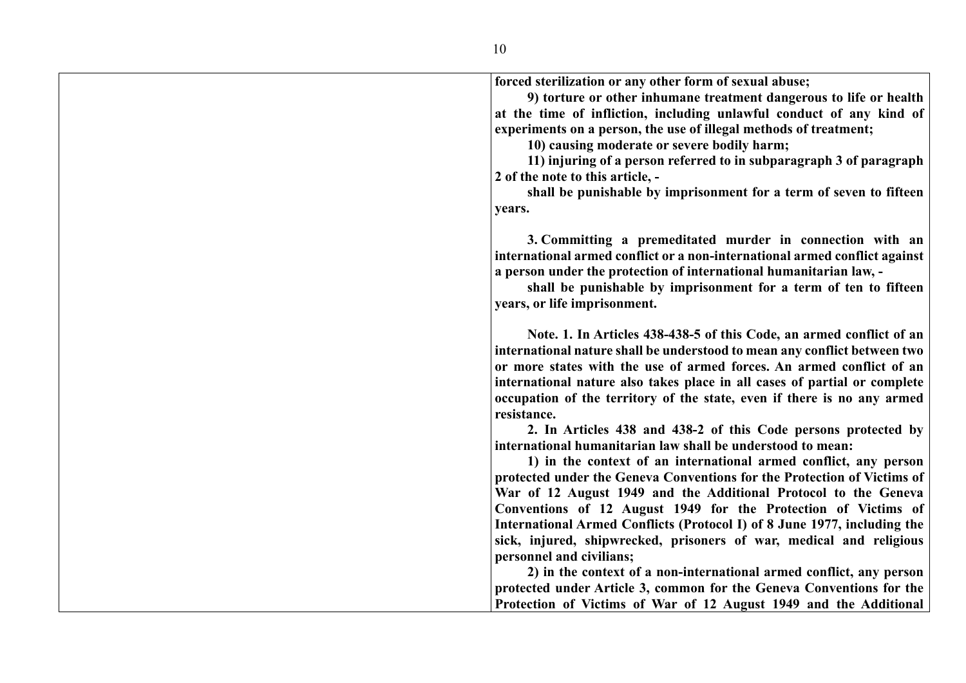**forced sterilization or any other form of sexual abuse; 9) torture or other inhumane treatment dangerous to life or health at the time of infliction, including unlawful conduct of any kind of experiments on a person, the use of illegal methods of treatment; 10) causing moderate or severe bodily harm; 11) injuring of a person referred to in subparagraph 3 of paragraph 2 of the note to this article, shall be punishable by imprisonment for a term of seven to fifteen years. 3. Committing a premeditated murder in connection with an international armed conflict or a non-international armed conflict against a person under the protection of international humanitarian law, shall be punishable by imprisonment for a term of ten to fifteen years, or life imprisonment. Note. 1. In Articles 438-438-5 of this Code, an armed conflict of an international nature shall be understood to mean any conflict between two or more states with the use of armed forces. An armed conflict of an international nature also takes place in all cases of partial or complete occupation of the territory of the state, even if there is no any armed resistance. 2. In Articles 438 and 438-2 of this Code persons protected by international humanitarian law shall be understood to mean: 1) in the context of an international armed conflict, any person protected under the Geneva Conventions for the Protection of Victims of War of 12 August 1949 and the Additional Protocol to the Geneva Conventions of 12 August 1949 for the Protection of Victims of International Armed Conflicts (Protocol I) of 8 June 1977, including the sick, injured, shipwrecked, prisoners of war, medical and religious personnel and civilians; 2) in the context of a non-international armed conflict, any person** 

**protected under Article 3, common for the Geneva Conventions for the Protection of Victims of War of 12 August 1949 and the Additional**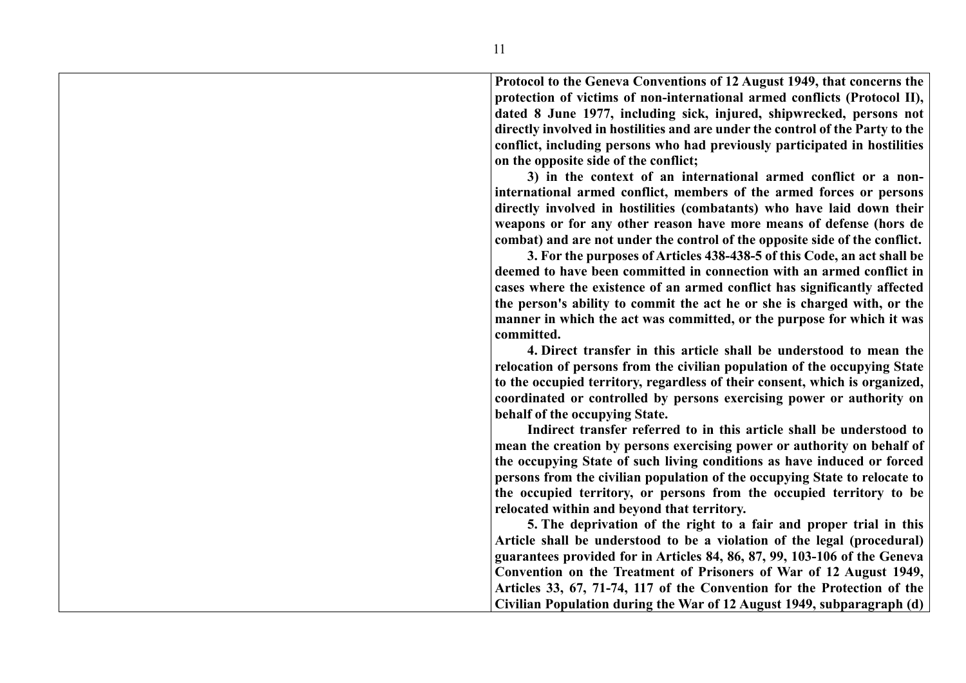**Protocol to the Geneva Conventions of 12 August 1949, that concerns the protection of victims of non-international armed conflicts (Protocol II), dated 8 June 1977, including sick, injured, shipwrecked, persons not directly involved in hostilities and are under the control of the Party to the conflict, including persons who had previously participated in hostilities on the opposite side of the conflict;**

**3) in the context of an international armed conflict or a noninternational armed conflict, members of the armed forces or persons directly involved in hostilities (combatants) who have laid down their weapons or for any other reason have more means of defense (hors de combat) and are not under the control of the opposite side of the conflict.**

**3. For the purposes of Articles 438-438-5 of this Code, an act shall be deemed to have been committed in connection with an armed conflict in cases where the existence of an armed conflict has significantly affected the person's ability to commit the act he or she is charged with, or the manner in which the act was committed, or the purpose for which it was committed.**

**4. Direct transfer in this article shall be understood to mean the relocation of persons from the civilian population of the occupying State to the occupied territory, regardless of their consent, which is organized, coordinated or controlled by persons exercising power or authority on behalf of the occupying State.**

**Indirect transfer referred to in this article shall be understood to mean the creation by persons exercising power or authority on behalf of the occupying State of such living conditions as have induced or forced persons from the civilian population of the occupying State to relocate to the occupied territory, or persons from the occupied territory to be relocated within and beyond that territory.**

**5. The deprivation of the right to a fair and proper trial in this Article shall be understood to be a violation of the legal (procedural) guarantees provided for in Articles 84, 86, 87, 99, 103-106 of the Geneva Convention on the Treatment of Prisoners of War of 12 August 1949, Articles 33, 67, 71-74, 117 of the Convention for the Protection of the Civilian Population during the War of 12 August 1949, subparagraph (d)**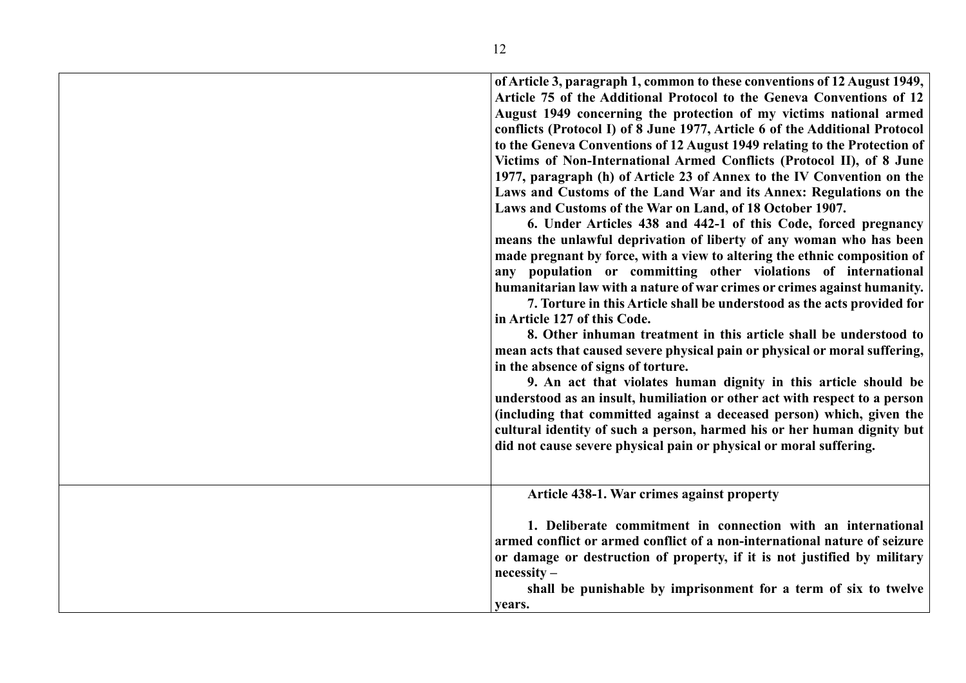| of Article 3, paragraph 1, common to these conventions of 12 August 1949,<br>Article 75 of the Additional Protocol to the Geneva Conventions of 12<br>August 1949 concerning the protection of my victims national armed<br>conflicts (Protocol I) of 8 June 1977, Article 6 of the Additional Protocol<br>to the Geneva Conventions of 12 August 1949 relating to the Protection of<br>Victims of Non-International Armed Conflicts (Protocol II), of 8 June<br>1977, paragraph (h) of Article 23 of Annex to the IV Convention on the<br>Laws and Customs of the Land War and its Annex: Regulations on the<br>Laws and Customs of the War on Land, of 18 October 1907.<br>6. Under Articles 438 and 442-1 of this Code, forced pregnancy<br>means the unlawful deprivation of liberty of any woman who has been<br>made pregnant by force, with a view to altering the ethnic composition of<br>any population or committing other violations of international<br>humanitarian law with a nature of war crimes or crimes against humanity.<br>7. Torture in this Article shall be understood as the acts provided for<br>in Article 127 of this Code.<br>8. Other inhuman treatment in this article shall be understood to<br>mean acts that caused severe physical pain or physical or moral suffering,<br>in the absence of signs of torture.<br>9. An act that violates human dignity in this article should be<br>understood as an insult, humiliation or other act with respect to a person<br>(including that committed against a deceased person) which, given the<br>cultural identity of such a person, harmed his or her human dignity but<br>did not cause severe physical pain or physical or moral suffering. |
|-------------------------------------------------------------------------------------------------------------------------------------------------------------------------------------------------------------------------------------------------------------------------------------------------------------------------------------------------------------------------------------------------------------------------------------------------------------------------------------------------------------------------------------------------------------------------------------------------------------------------------------------------------------------------------------------------------------------------------------------------------------------------------------------------------------------------------------------------------------------------------------------------------------------------------------------------------------------------------------------------------------------------------------------------------------------------------------------------------------------------------------------------------------------------------------------------------------------------------------------------------------------------------------------------------------------------------------------------------------------------------------------------------------------------------------------------------------------------------------------------------------------------------------------------------------------------------------------------------------------------------------------------------------------------------------------------------------------------------|
|                                                                                                                                                                                                                                                                                                                                                                                                                                                                                                                                                                                                                                                                                                                                                                                                                                                                                                                                                                                                                                                                                                                                                                                                                                                                                                                                                                                                                                                                                                                                                                                                                                                                                                                               |
| Article 438-1. War crimes against property<br>1. Deliberate commitment in connection with an international                                                                                                                                                                                                                                                                                                                                                                                                                                                                                                                                                                                                                                                                                                                                                                                                                                                                                                                                                                                                                                                                                                                                                                                                                                                                                                                                                                                                                                                                                                                                                                                                                    |
| armed conflict or armed conflict of a non-international nature of seizure                                                                                                                                                                                                                                                                                                                                                                                                                                                                                                                                                                                                                                                                                                                                                                                                                                                                                                                                                                                                                                                                                                                                                                                                                                                                                                                                                                                                                                                                                                                                                                                                                                                     |
| or damage or destruction of property, if it is not justified by military<br>$necessity -$                                                                                                                                                                                                                                                                                                                                                                                                                                                                                                                                                                                                                                                                                                                                                                                                                                                                                                                                                                                                                                                                                                                                                                                                                                                                                                                                                                                                                                                                                                                                                                                                                                     |
| shall be punishable by imprisonment for a term of six to twelve<br>years.                                                                                                                                                                                                                                                                                                                                                                                                                                                                                                                                                                                                                                                                                                                                                                                                                                                                                                                                                                                                                                                                                                                                                                                                                                                                                                                                                                                                                                                                                                                                                                                                                                                     |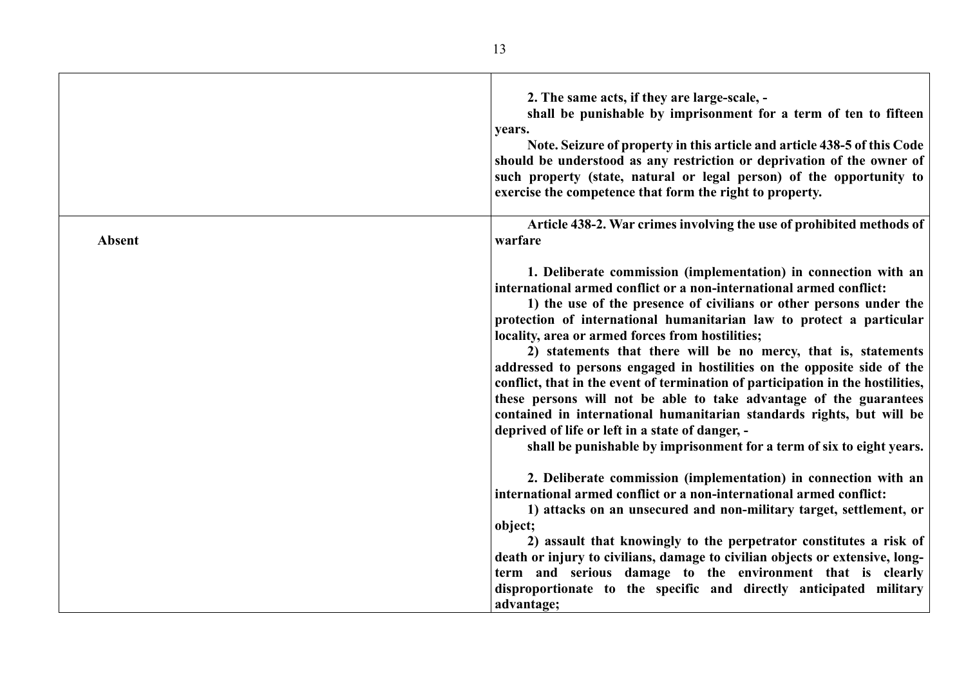|               | 2. The same acts, if they are large-scale, -<br>shall be punishable by imprisonment for a term of ten to fifteen<br>years.<br>Note. Seizure of property in this article and article 438-5 of this Code<br>should be understood as any restriction or deprivation of the owner of<br>such property (state, natural or legal person) of the opportunity to<br>exercise the competence that form the right to property.                                                                                                                                                                                                                                                                                                                                                                                                                                 |
|---------------|------------------------------------------------------------------------------------------------------------------------------------------------------------------------------------------------------------------------------------------------------------------------------------------------------------------------------------------------------------------------------------------------------------------------------------------------------------------------------------------------------------------------------------------------------------------------------------------------------------------------------------------------------------------------------------------------------------------------------------------------------------------------------------------------------------------------------------------------------|
| <b>Absent</b> | Article 438-2. War crimes involving the use of prohibited methods of<br>warfare                                                                                                                                                                                                                                                                                                                                                                                                                                                                                                                                                                                                                                                                                                                                                                      |
|               | 1. Deliberate commission (implementation) in connection with an<br>international armed conflict or a non-international armed conflict:<br>1) the use of the presence of civilians or other persons under the<br>protection of international humanitarian law to protect a particular<br>locality, area or armed forces from hostilities;<br>2) statements that there will be no mercy, that is, statements<br>addressed to persons engaged in hostilities on the opposite side of the<br>conflict, that in the event of termination of participation in the hostilities,<br>these persons will not be able to take advantage of the guarantees<br>contained in international humanitarian standards rights, but will be<br>deprived of life or left in a state of danger, -<br>shall be punishable by imprisonment for a term of six to eight years. |
|               | 2. Deliberate commission (implementation) in connection with an<br>international armed conflict or a non-international armed conflict:<br>1) attacks on an unsecured and non-military target, settlement, or<br>object;                                                                                                                                                                                                                                                                                                                                                                                                                                                                                                                                                                                                                              |
|               | 2) assault that knowingly to the perpetrator constitutes a risk of<br>death or injury to civilians, damage to civilian objects or extensive, long-<br>term and serious damage to the environment that is clearly<br>disproportionate to the specific and directly anticipated military<br>advantage;                                                                                                                                                                                                                                                                                                                                                                                                                                                                                                                                                 |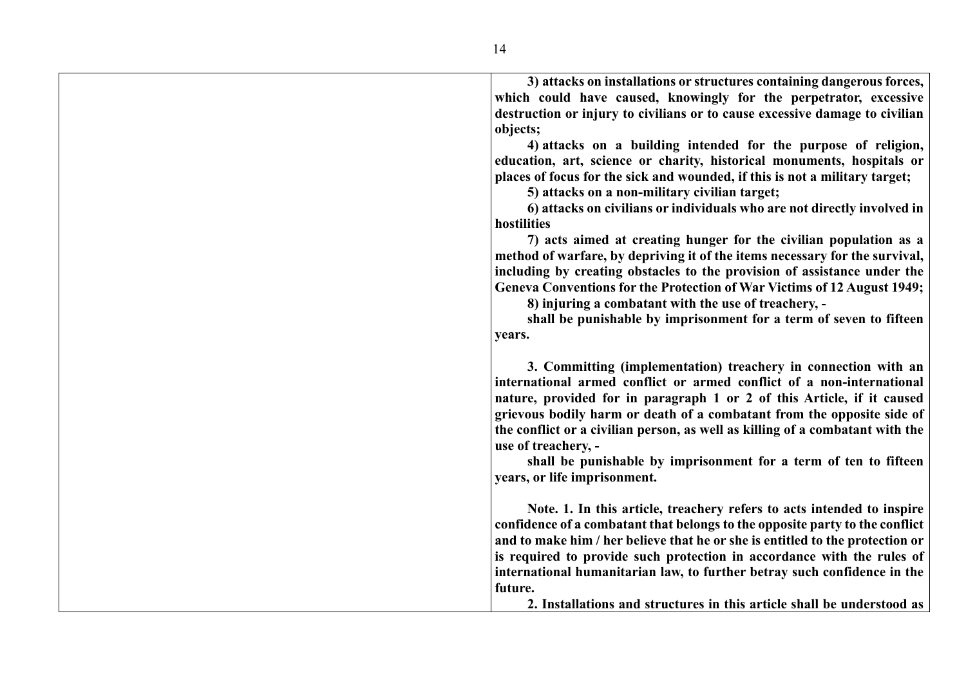**3) attacks on installations or structures containing dangerous forces, which could have caused, knowingly for the perpetrator, excessive destruction or injury to civilians or to cause excessive damage to civilian objects; 4) attacks on a building intended for the purpose of religion, education, art, science or charity, historical monuments, hospitals or places of focus for the sick and wounded, if this is not a military target; 5) attacks on a non-military civilian target; 6) attacks on civilians or individuals who are not directly involved in hostilities 7) acts aimed at creating hunger for the civilian population as a method of warfare, by depriving it of the items necessary for the survival, including by creating obstacles to the provision of assistance under the Geneva Conventions for the Protection of War Victims of 12 August 1949; 8) injuring a combatant with the use of treachery, shall be punishable by imprisonment for a term of seven to fifteen years. 3. Committing (implementation) treachery in connection with an international armed conflict or armed conflict of a non-international nature, provided for in paragraph 1 or 2 of this Article, if it caused grievous bodily harm or death of a combatant from the opposite side of the conflict or a civilian person, as well as killing of a combatant with the use of treachery, shall be punishable by imprisonment for a term of ten to fifteen years, or life imprisonment. Note. 1. In this article, treachery refers to acts intended to inspire confidence of a combatant that belongs to the opposite party to the conflict and to make him / her believe that he or she is entitled to the protection or is required to provide such protection in accordance with the rules of international humanitarian law, to further betray such confidence in the future.**

**2. Installations and structures in this article shall be understood as**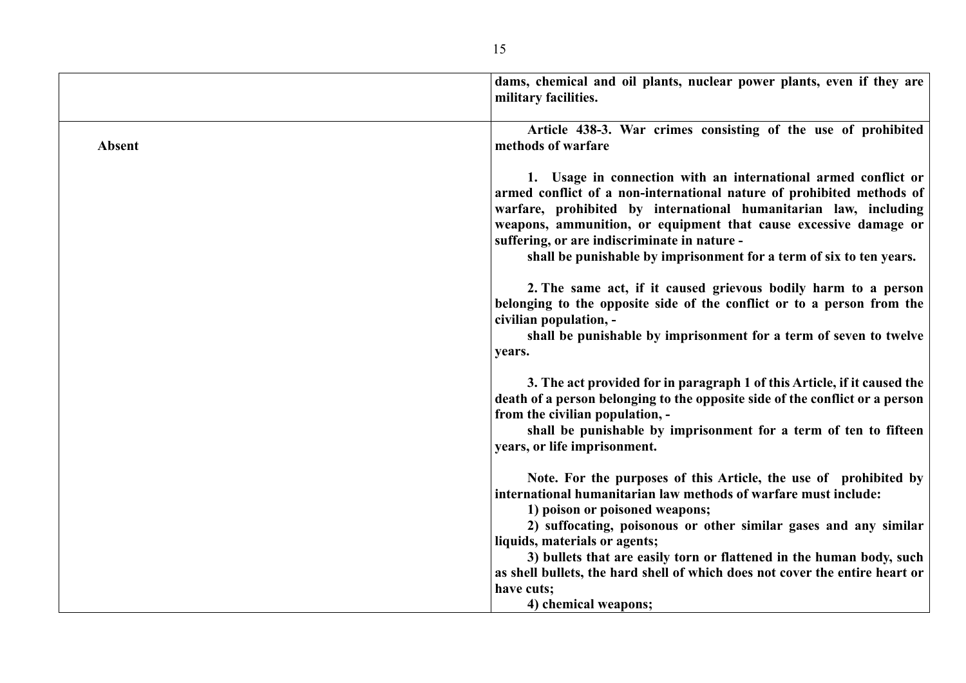|        | dams, chemical and oil plants, nuclear power plants, even if they are<br>military facilities.                                                                                                                                                                                                                                                                                                          |
|--------|--------------------------------------------------------------------------------------------------------------------------------------------------------------------------------------------------------------------------------------------------------------------------------------------------------------------------------------------------------------------------------------------------------|
| Absent | Article 438-3. War crimes consisting of the use of prohibited<br>methods of warfare                                                                                                                                                                                                                                                                                                                    |
|        | 1. Usage in connection with an international armed conflict or<br>armed conflict of a non-international nature of prohibited methods of<br>warfare, prohibited by international humanitarian law, including<br>weapons, ammunition, or equipment that cause excessive damage or<br>suffering, or are indiscriminate in nature -<br>shall be punishable by imprisonment for a term of six to ten years. |
|        | 2. The same act, if it caused grievous bodily harm to a person<br>belonging to the opposite side of the conflict or to a person from the<br>civilian population, -<br>shall be punishable by imprisonment for a term of seven to twelve<br>years.                                                                                                                                                      |
|        | 3. The act provided for in paragraph 1 of this Article, if it caused the<br>death of a person belonging to the opposite side of the conflict or a person<br>from the civilian population, -<br>shall be punishable by imprisonment for a term of ten to fifteen<br>years, or life imprisonment.                                                                                                        |
|        | Note. For the purposes of this Article, the use of prohibited by<br>international humanitarian law methods of warfare must include:<br>1) poison or poisoned weapons;<br>2) suffocating, poisonous or other similar gases and any similar<br>liquids, materials or agents;                                                                                                                             |
|        | 3) bullets that are easily torn or flattened in the human body, such<br>as shell bullets, the hard shell of which does not cover the entire heart or<br>have cuts;<br>4) chemical weapons;                                                                                                                                                                                                             |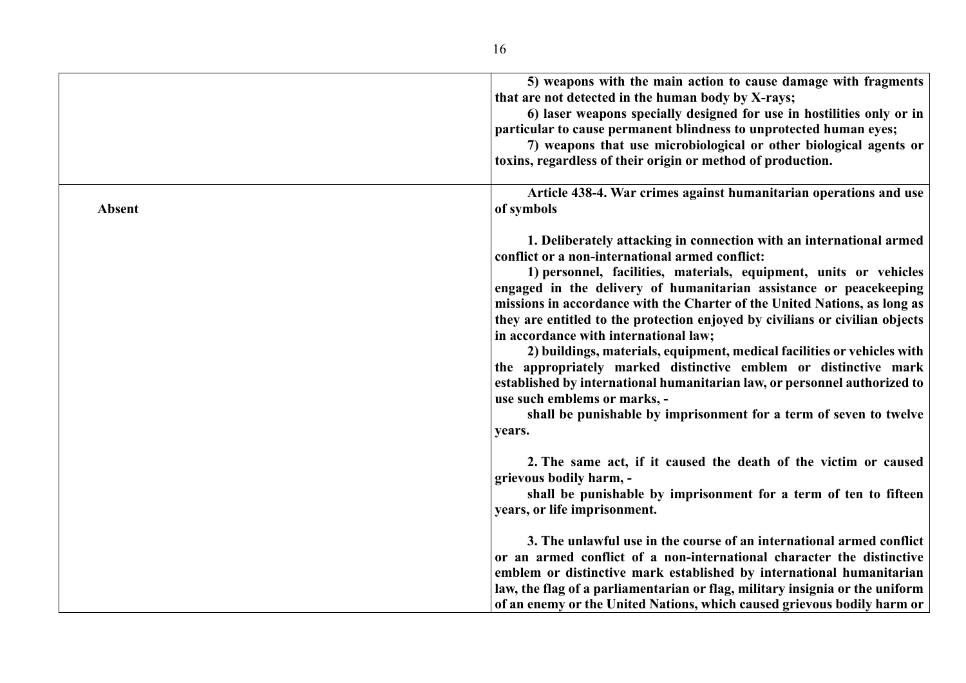|        | 5) weapons with the main action to cause damage with fragments<br>that are not detected in the human body by X-rays;<br>6) laser weapons specially designed for use in hostilities only or in<br>particular to cause permanent blindness to unprotected human eyes;<br>7) weapons that use microbiological or other biological agents or                                                                                                                                                                                                                                                                                                                                                                                                                                                                          |
|--------|-------------------------------------------------------------------------------------------------------------------------------------------------------------------------------------------------------------------------------------------------------------------------------------------------------------------------------------------------------------------------------------------------------------------------------------------------------------------------------------------------------------------------------------------------------------------------------------------------------------------------------------------------------------------------------------------------------------------------------------------------------------------------------------------------------------------|
| Absent | toxins, regardless of their origin or method of production.<br>Article 438-4. War crimes against humanitarian operations and use<br>of symbols                                                                                                                                                                                                                                                                                                                                                                                                                                                                                                                                                                                                                                                                    |
|        | 1. Deliberately attacking in connection with an international armed<br>conflict or a non-international armed conflict:<br>1) personnel, facilities, materials, equipment, units or vehicles<br>engaged in the delivery of humanitarian assistance or peacekeeping<br>missions in accordance with the Charter of the United Nations, as long as<br>they are entitled to the protection enjoyed by civilians or civilian objects<br>in accordance with international law;<br>2) buildings, materials, equipment, medical facilities or vehicles with<br>the appropriately marked distinctive emblem or distinctive mark<br>established by international humanitarian law, or personnel authorized to<br>use such emblems or marks, -<br>shall be punishable by imprisonment for a term of seven to twelve<br>years. |
|        | 2. The same act, if it caused the death of the victim or caused<br>grievous bodily harm, -<br>shall be punishable by imprisonment for a term of ten to fifteen<br>years, or life imprisonment.                                                                                                                                                                                                                                                                                                                                                                                                                                                                                                                                                                                                                    |
|        | 3. The unlawful use in the course of an international armed conflict<br>or an armed conflict of a non-international character the distinctive<br>emblem or distinctive mark established by international humanitarian<br>law, the flag of a parliamentarian or flag, military insignia or the uniform<br>of an enemy or the United Nations, which caused grievous bodily harm or                                                                                                                                                                                                                                                                                                                                                                                                                                  |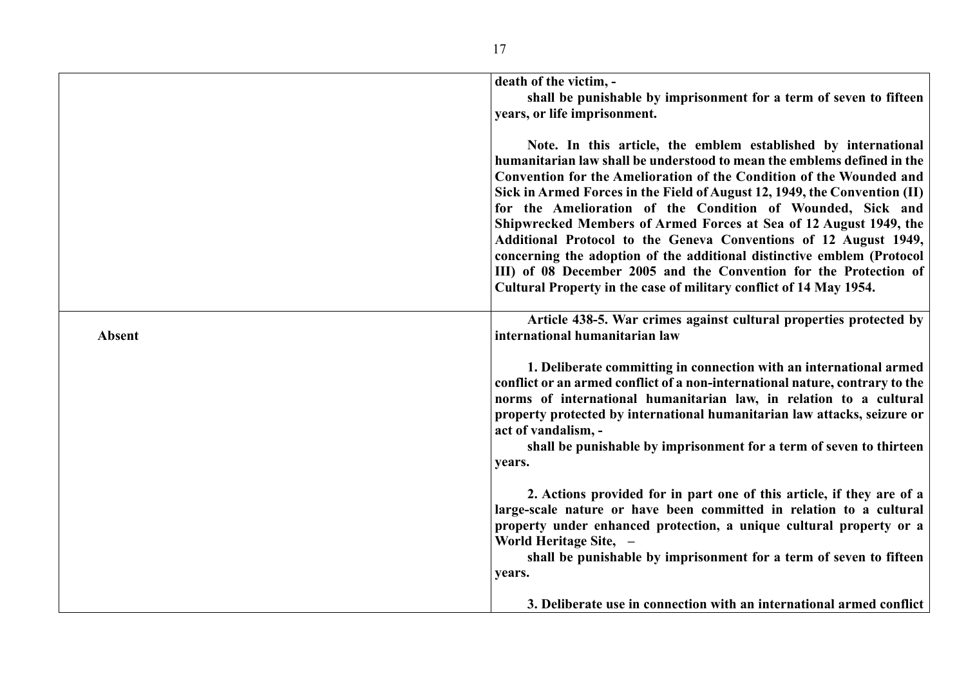|               | death of the victim, -                                                                             |
|---------------|----------------------------------------------------------------------------------------------------|
|               | shall be punishable by imprisonment for a term of seven to fifteen<br>years, or life imprisonment. |
|               |                                                                                                    |
|               | Note. In this article, the emblem established by international                                     |
|               | humanitarian law shall be understood to mean the emblems defined in the                            |
|               | Convention for the Amelioration of the Condition of the Wounded and                                |
|               | Sick in Armed Forces in the Field of August 12, 1949, the Convention (II)                          |
|               | for the Amelioration of the Condition of Wounded, Sick and                                         |
|               | Shipwrecked Members of Armed Forces at Sea of 12 August 1949, the                                  |
|               | Additional Protocol to the Geneva Conventions of 12 August 1949,                                   |
|               | concerning the adoption of the additional distinctive emblem (Protocol                             |
|               | III) of 08 December 2005 and the Convention for the Protection of                                  |
|               | Cultural Property in the case of military conflict of 14 May 1954.                                 |
|               | Article 438-5. War crimes against cultural properties protected by                                 |
| <b>Absent</b> | international humanitarian law                                                                     |
|               |                                                                                                    |
|               | 1. Deliberate committing in connection with an international armed                                 |
|               | conflict or an armed conflict of a non-international nature, contrary to the                       |
|               | norms of international humanitarian law, in relation to a cultural                                 |
|               | property protected by international humanitarian law attacks, seizure or                           |
|               | act of vandalism, -                                                                                |
|               | shall be punishable by imprisonment for a term of seven to thirteen                                |
|               | years.                                                                                             |
|               | 2. Actions provided for in part one of this article, if they are of a                              |
|               | large-scale nature or have been committed in relation to a cultural                                |
|               | property under enhanced protection, a unique cultural property or a                                |
|               | World Heritage Site, -                                                                             |
|               | shall be punishable by imprisonment for a term of seven to fifteen                                 |
|               | years.                                                                                             |
|               |                                                                                                    |
|               | 3. Deliberate use in connection with an international armed conflict                               |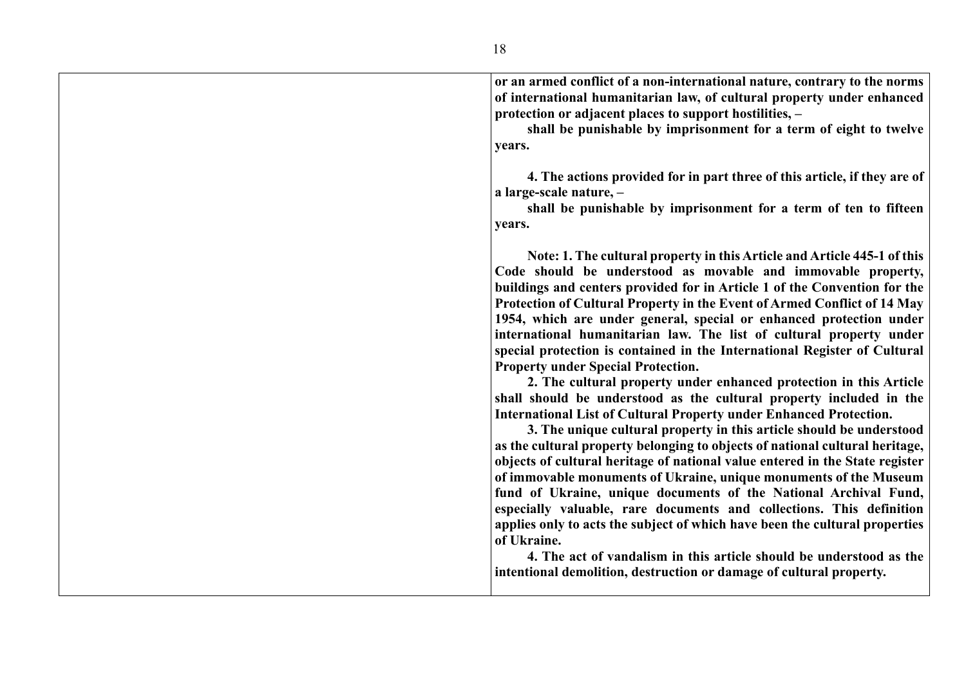| or an armed conflict of a non-international nature, contrary to the norms<br>of international humanitarian law, of cultural property under enhanced<br>protection or adjacent places to support hostilities, -<br>shall be punishable by imprisonment for a term of eight to twelve<br>years.                                                                                                                                                                                                                                                                                                                                                                                                                                                                                                                                                                                                                                                                                                                                                                                                                                                                                                                                                                                                                                                                                                                                     |
|-----------------------------------------------------------------------------------------------------------------------------------------------------------------------------------------------------------------------------------------------------------------------------------------------------------------------------------------------------------------------------------------------------------------------------------------------------------------------------------------------------------------------------------------------------------------------------------------------------------------------------------------------------------------------------------------------------------------------------------------------------------------------------------------------------------------------------------------------------------------------------------------------------------------------------------------------------------------------------------------------------------------------------------------------------------------------------------------------------------------------------------------------------------------------------------------------------------------------------------------------------------------------------------------------------------------------------------------------------------------------------------------------------------------------------------|
| 4. The actions provided for in part three of this article, if they are of<br>a large-scale nature, -<br>shall be punishable by imprisonment for a term of ten to fifteen<br>years.                                                                                                                                                                                                                                                                                                                                                                                                                                                                                                                                                                                                                                                                                                                                                                                                                                                                                                                                                                                                                                                                                                                                                                                                                                                |
| Note: 1. The cultural property in this Article and Article 445-1 of this<br>Code should be understood as movable and immovable property,<br>buildings and centers provided for in Article 1 of the Convention for the<br>Protection of Cultural Property in the Event of Armed Conflict of 14 May<br>1954, which are under general, special or enhanced protection under<br>international humanitarian law. The list of cultural property under<br>special protection is contained in the International Register of Cultural<br><b>Property under Special Protection.</b><br>2. The cultural property under enhanced protection in this Article<br>shall should be understood as the cultural property included in the<br><b>International List of Cultural Property under Enhanced Protection.</b><br>3. The unique cultural property in this article should be understood<br>as the cultural property belonging to objects of national cultural heritage,<br>objects of cultural heritage of national value entered in the State register<br>of immovable monuments of Ukraine, unique monuments of the Museum<br>fund of Ukraine, unique documents of the National Archival Fund,<br>especially valuable, rare documents and collections. This definition<br>applies only to acts the subject of which have been the cultural properties<br>of Ukraine.<br>4. The act of vandalism in this article should be understood as the |
| intentional demolition, destruction or damage of cultural property.                                                                                                                                                                                                                                                                                                                                                                                                                                                                                                                                                                                                                                                                                                                                                                                                                                                                                                                                                                                                                                                                                                                                                                                                                                                                                                                                                               |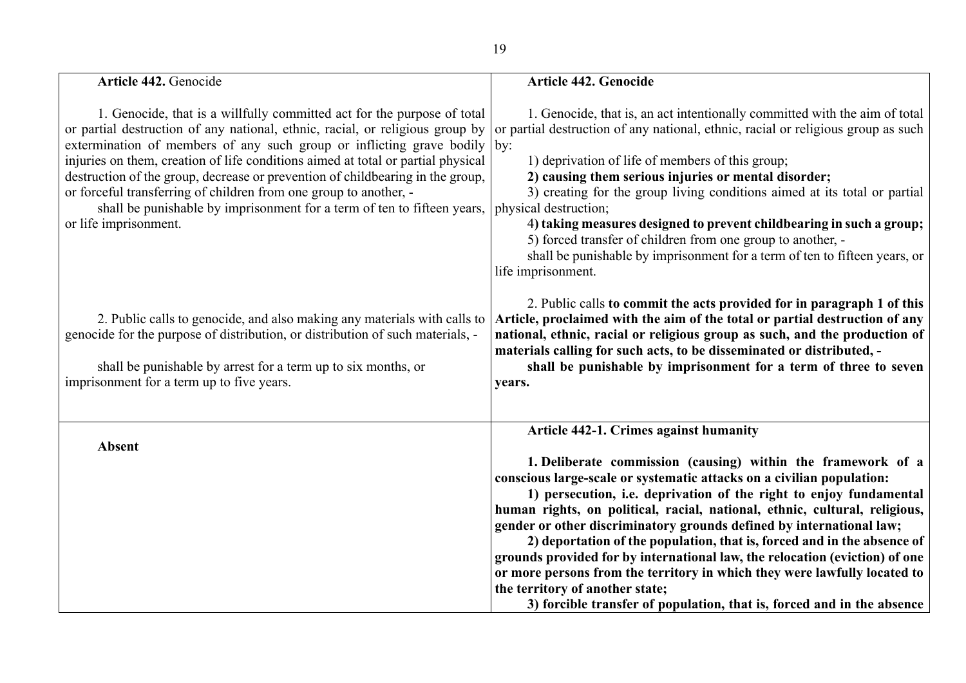| Article 442. Genocide                                                                                                                                                                                                                                                                                                                                                                                                                                                                                                                                                            | Article 442. Genocide                                                                                                                                                                                                                                                                                                                                                                                                                                                                                                                                                                                                                                                                                                                                           |
|----------------------------------------------------------------------------------------------------------------------------------------------------------------------------------------------------------------------------------------------------------------------------------------------------------------------------------------------------------------------------------------------------------------------------------------------------------------------------------------------------------------------------------------------------------------------------------|-----------------------------------------------------------------------------------------------------------------------------------------------------------------------------------------------------------------------------------------------------------------------------------------------------------------------------------------------------------------------------------------------------------------------------------------------------------------------------------------------------------------------------------------------------------------------------------------------------------------------------------------------------------------------------------------------------------------------------------------------------------------|
| 1. Genocide, that is a willfully committed act for the purpose of total<br>or partial destruction of any national, ethnic, racial, or religious group by<br>extermination of members of any such group or inflicting grave bodily<br>injuries on them, creation of life conditions aimed at total or partial physical<br>destruction of the group, decrease or prevention of childbearing in the group,<br>or forceful transferring of children from one group to another, -<br>shall be punishable by imprisonment for a term of ten to fifteen years,<br>or life imprisonment. | 1. Genocide, that is, an act intentionally committed with the aim of total<br>or partial destruction of any national, ethnic, racial or religious group as such<br>by:<br>1) deprivation of life of members of this group;<br>2) causing them serious injuries or mental disorder;<br>3) creating for the group living conditions aimed at its total or partial<br>physical destruction;<br>4) taking measures designed to prevent childbearing in such a group;<br>5) forced transfer of children from one group to another, -<br>shall be punishable by imprisonment for a term of ten to fifteen years, or<br>life imprisonment.                                                                                                                             |
| 2. Public calls to genocide, and also making any materials with calls to<br>genocide for the purpose of distribution, or distribution of such materials, -<br>shall be punishable by arrest for a term up to six months, or<br>imprisonment for a term up to five years.                                                                                                                                                                                                                                                                                                         | 2. Public calls to commit the acts provided for in paragraph 1 of this<br>Article, proclaimed with the aim of the total or partial destruction of any<br>national, ethnic, racial or religious group as such, and the production of<br>materials calling for such acts, to be disseminated or distributed, -<br>shall be punishable by imprisonment for a term of three to seven<br>years.                                                                                                                                                                                                                                                                                                                                                                      |
| <b>Absent</b>                                                                                                                                                                                                                                                                                                                                                                                                                                                                                                                                                                    | Article 442-1. Crimes against humanity<br>1. Deliberate commission (causing) within the framework of a<br>conscious large-scale or systematic attacks on a civilian population:<br>1) persecution, i.e. deprivation of the right to enjoy fundamental<br>human rights, on political, racial, national, ethnic, cultural, religious,<br>gender or other discriminatory grounds defined by international law;<br>2) deportation of the population, that is, forced and in the absence of<br>grounds provided for by international law, the relocation (eviction) of one<br>or more persons from the territory in which they were lawfully located to<br>the territory of another state;<br>3) forcible transfer of population, that is, forced and in the absence |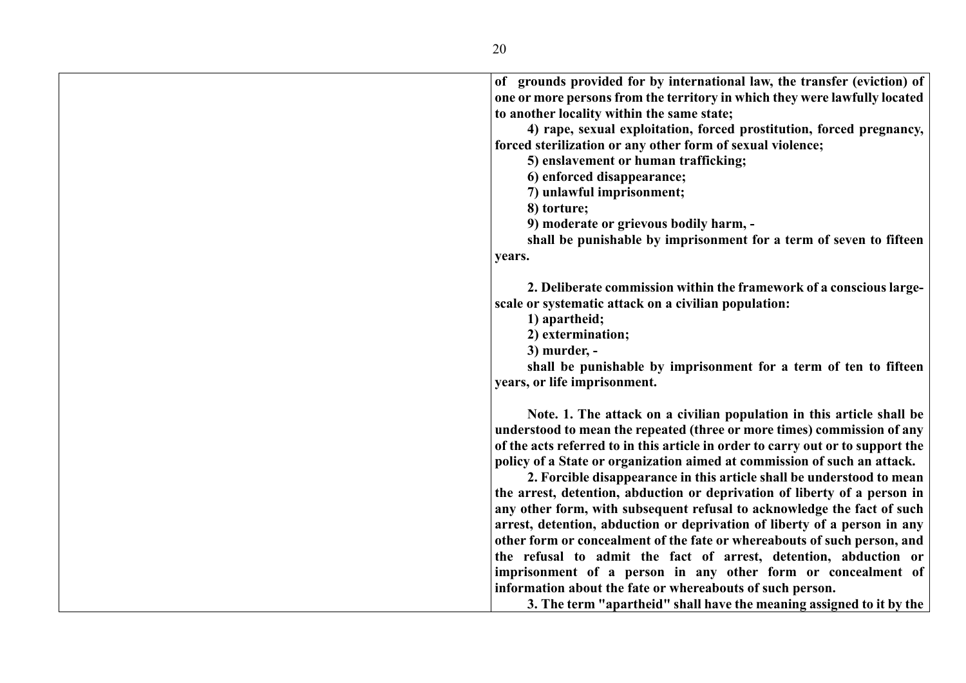| of grounds provided for by international law, the transfer (eviction) of        |
|---------------------------------------------------------------------------------|
| one or more persons from the territory in which they were lawfully located      |
| to another locality within the same state;                                      |
| 4) rape, sexual exploitation, forced prostitution, forced pregnancy,            |
| forced sterilization or any other form of sexual violence;                      |
| 5) enslavement or human trafficking;                                            |
| 6) enforced disappearance;                                                      |
| 7) unlawful imprisonment;                                                       |
| 8) torture;                                                                     |
| 9) moderate or grievous bodily harm, -                                          |
| shall be punishable by imprisonment for a term of seven to fifteen              |
| years.                                                                          |
|                                                                                 |
| 2. Deliberate commission within the framework of a conscious large-             |
| scale or systematic attack on a civilian population:                            |
| 1) apartheid;                                                                   |
| 2) extermination;                                                               |
| 3) murder, -                                                                    |
| shall be punishable by imprisonment for a term of ten to fifteen                |
| years, or life imprisonment.                                                    |
|                                                                                 |
| Note. 1. The attack on a civilian population in this article shall be           |
| understood to mean the repeated (three or more times) commission of any         |
| of the acts referred to in this article in order to carry out or to support the |
| policy of a State or organization aimed at commission of such an attack.        |
| 2. Forcible disappearance in this article shall be understood to mean           |
| the arrest, detention, abduction or deprivation of liberty of a person in       |
| any other form, with subsequent refusal to acknowledge the fact of such         |
| arrest, detention, abduction or deprivation of liberty of a person in any       |
| other form or concealment of the fate or whereabouts of such person, and        |
| the refusal to admit the fact of arrest, detention, abduction or                |
| imprisonment of a person in any other form or concealment of                    |
| information about the fate or whereabouts of such person.                       |
| 3. The term "apartheid" shall have the meaning assigned to it by the            |
|                                                                                 |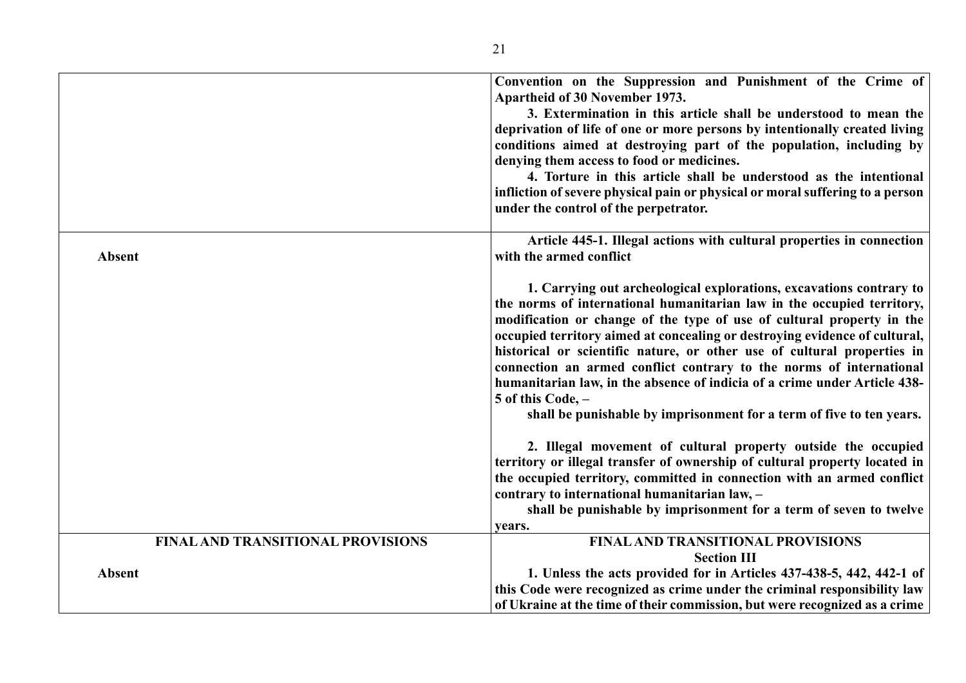|                                          | Convention on the Suppression and Punishment of the Crime of<br>Apartheid of 30 November 1973.<br>3. Extermination in this article shall be understood to mean the<br>deprivation of life of one or more persons by intentionally created living<br>conditions aimed at destroying part of the population, including by<br>denying them access to food or medicines.<br>4. Torture in this article shall be understood as the intentional<br>infliction of severe physical pain or physical or moral suffering to a person<br>under the control of the perpetrator.                                                              |
|------------------------------------------|----------------------------------------------------------------------------------------------------------------------------------------------------------------------------------------------------------------------------------------------------------------------------------------------------------------------------------------------------------------------------------------------------------------------------------------------------------------------------------------------------------------------------------------------------------------------------------------------------------------------------------|
| <b>Absent</b>                            | Article 445-1. Illegal actions with cultural properties in connection<br>with the armed conflict                                                                                                                                                                                                                                                                                                                                                                                                                                                                                                                                 |
|                                          | 1. Carrying out archeological explorations, excavations contrary to<br>the norms of international humanitarian law in the occupied territory,<br>modification or change of the type of use of cultural property in the<br>occupied territory aimed at concealing or destroying evidence of cultural,<br>historical or scientific nature, or other use of cultural properties in<br>connection an armed conflict contrary to the norms of international<br>humanitarian law, in the absence of indicia of a crime under Article 438-<br>5 of this Code, -<br>shall be punishable by imprisonment for a term of five to ten years. |
|                                          | 2. Illegal movement of cultural property outside the occupied<br>territory or illegal transfer of ownership of cultural property located in<br>the occupied territory, committed in connection with an armed conflict<br>contrary to international humanitarian law, -<br>shall be punishable by imprisonment for a term of seven to twelve<br>vears.                                                                                                                                                                                                                                                                            |
| <b>FINAL AND TRANSITIONAL PROVISIONS</b> | <b>FINAL AND TRANSITIONAL PROVISIONS</b><br><b>Section III</b>                                                                                                                                                                                                                                                                                                                                                                                                                                                                                                                                                                   |
| <b>Absent</b>                            | 1. Unless the acts provided for in Articles 437-438-5, 442, 442-1 of<br>this Code were recognized as crime under the criminal responsibility law<br>of Ukraine at the time of their commission, but were recognized as a crime                                                                                                                                                                                                                                                                                                                                                                                                   |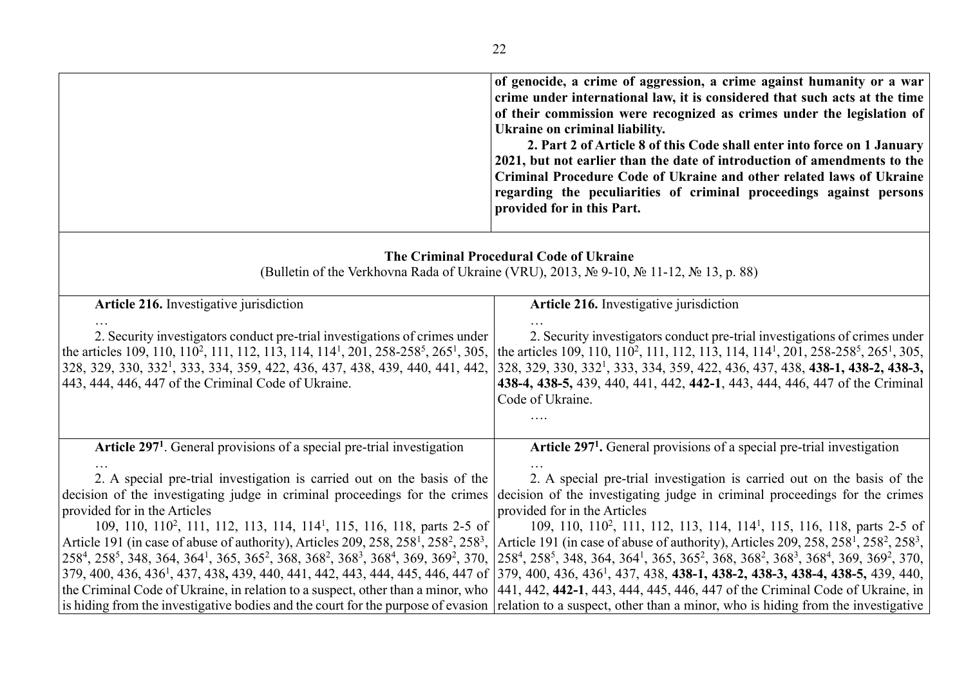| of genocide, a crime of aggression, a crime against humanity or a war<br>crime under international law, it is considered that such acts at the time<br>of their commission were recognized as crimes under the legislation of<br>Ukraine on criminal liability.<br>2. Part 2 of Article 8 of this Code shall enter into force on 1 January<br>2021, but not earlier than the date of introduction of amendments to the<br>Criminal Procedure Code of Ukraine and other related laws of Ukraine<br>regarding the peculiarities of criminal proceedings against persons<br>provided for in this Part.                                                                                                                                                                                                                                                                                                                                                                                                                                                                                                                                                                                                                                                                                     |
|-----------------------------------------------------------------------------------------------------------------------------------------------------------------------------------------------------------------------------------------------------------------------------------------------------------------------------------------------------------------------------------------------------------------------------------------------------------------------------------------------------------------------------------------------------------------------------------------------------------------------------------------------------------------------------------------------------------------------------------------------------------------------------------------------------------------------------------------------------------------------------------------------------------------------------------------------------------------------------------------------------------------------------------------------------------------------------------------------------------------------------------------------------------------------------------------------------------------------------------------------------------------------------------------|
| The Criminal Procedural Code of Ukraine<br>(Bulletin of the Verkhovna Rada of Ukraine (VRU), 2013, № 9-10, № 11-12, № 13, p. 88)                                                                                                                                                                                                                                                                                                                                                                                                                                                                                                                                                                                                                                                                                                                                                                                                                                                                                                                                                                                                                                                                                                                                                        |
| Article 216. Investigative jurisdiction                                                                                                                                                                                                                                                                                                                                                                                                                                                                                                                                                                                                                                                                                                                                                                                                                                                                                                                                                                                                                                                                                                                                                                                                                                                 |
| 2. Security investigators conduct pre-trial investigations of crimes under<br>the articles 109, 110, 110 <sup>2</sup> , 111, 112, 113, 114, 114 <sup>1</sup> , 201, 258-258 <sup>5</sup> , 265 <sup>1</sup> , 305,<br>the articles 109, 110, 110 <sup>2</sup> , 111, 112, 113, 114, 114 <sup>1</sup> , 201, 258-258 <sup>5</sup> , 265 <sup>1</sup> , 305,<br>328, 329, 330, 332 <sup>1</sup> , 333, 334, 359, 422, 436, 437, 438, 438-1, 438-2, 438-3,<br>438-4, 438-5, 439, 440, 441, 442, 442-1, 443, 444, 446, 447 of the Criminal<br>Code of Ukraine.                                                                                                                                                                                                                                                                                                                                                                                                                                                                                                                                                                                                                                                                                                                              |
| Article 297 <sup>1</sup> . General provisions of a special pre-trial investigation                                                                                                                                                                                                                                                                                                                                                                                                                                                                                                                                                                                                                                                                                                                                                                                                                                                                                                                                                                                                                                                                                                                                                                                                      |
| 2. A special pre-trial investigation is carried out on the basis of the<br>decision of the investigating judge in criminal proceedings for the crimes<br>provided for in the Articles<br>109, 110, 110 <sup>2</sup> , 111, 112, 113, 114, 114 <sup>1</sup> , 115, 116, 118, parts 2-5 of<br>Article 191 (in case of abuse of authority), Articles 209, 258, 258 <sup>1</sup> , 258 <sup>2</sup> , 258 <sup>3</sup> ,<br>Article 191 (in case of abuse of authority), Articles 209, 258, 258 <sup>1</sup> , 258 <sup>2</sup> , 258 <sup>3</sup> ,<br>258 <sup>4</sup> , 258 <sup>5</sup> , 348, 364, 364 <sup>1</sup> , 365, 365 <sup>2</sup> , 368, 368 <sup>2</sup> , 368 <sup>3</sup> , 368 <sup>4</sup> , 369, 369 <sup>2</sup> , 370, 258 <sup>4</sup> , 258 <sup>5</sup> , 348, 364, 364 <sup>1</sup> , 365, 365 <sup>2</sup> , 368, 368 <sup>2</sup> , 368 <sup>3</sup> , 368 <sup>4</sup> , 369, 369 <sup>2</sup> , 370,<br>379, 400, 436, 436 <sup>1</sup> , 437, 438, 439, 440, 441, 442, 443, 444, 445, 446, 447 of 379, 400, 436, 436 <sup>1</sup> , 437, 438, 438-1, 438-2, 438-3, 438-4, 438-5, 439, 440,<br>the Criminal Code of Ukraine, in relation to a suspect, other than a minor, who [441, 442, 442-1, 443, 444, 445, 446, 447 of the Criminal Code of Ukraine, in |
| 2. Security investigators conduct pre-trial investigations of crimes under<br>2. A special pre-trial investigation is carried out on the basis of the<br>decision of the investigating judge in criminal proceedings for the crimes<br>109, 110, 110 <sup>2</sup> , 111, 112, 113, 114, 114 <sup>1</sup> , 115, 116, 118, parts 2-5 of                                                                                                                                                                                                                                                                                                                                                                                                                                                                                                                                                                                                                                                                                                                                                                                                                                                                                                                                                  |